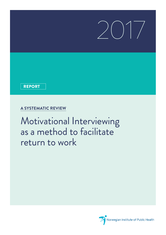# $\begin{pmatrix} 1 \\ 1 \end{pmatrix}$

### REPORT

## **A SYSTEMATIC REVIEW**

Motivational Interviewing as a method to facilitate return to work

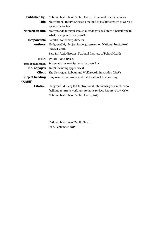| <b>Published by:</b>       | National Institute of Public Health, Division of Health Services      |  |  |  |  |  |
|----------------------------|-----------------------------------------------------------------------|--|--|--|--|--|
| Title                      | Motivational Interviewing as a method to facilitate return to work: a |  |  |  |  |  |
|                            | systematic review                                                     |  |  |  |  |  |
| Norwegian title            | Motiverende Intervju som en metode for å fasilitere tilbakeføring til |  |  |  |  |  |
|                            | arbeid: en systematisk oversikt                                       |  |  |  |  |  |
| Responsible                | Camilla Stoltenberg, director                                         |  |  |  |  |  |
| <b>Authors</b>             | Flodgren GM, (Project leader), researcher, National Institute of      |  |  |  |  |  |
|                            | <b>Public Health</b>                                                  |  |  |  |  |  |
|                            | Berg RC, Unit director, National Institute of Public Health           |  |  |  |  |  |
| <b>ISBN</b>                | 978-82-8082-859-0                                                     |  |  |  |  |  |
| <b>Type of publication</b> | Systematic review (Systematisk oversikt)                              |  |  |  |  |  |
| No. of pages               | 39 (71 including appendices)                                          |  |  |  |  |  |
| <b>Client</b>              | The Norwegian Labour and Welfare Administration (NAV)                 |  |  |  |  |  |
| <b>Subject heading</b>     | Employment, return to work, Motivational Interviewing                 |  |  |  |  |  |
| (MeSH)                     |                                                                       |  |  |  |  |  |
| <b>Citation</b>            | Flodgren GM, Berg RC. Motivational Interviewing as a method to        |  |  |  |  |  |
|                            | facilitate return to work: a systematic review. Report-2017. Oslo:    |  |  |  |  |  |
|                            | National Institute of Public Health, 2017.                            |  |  |  |  |  |

National Institute of Public Health Oslo, September 2017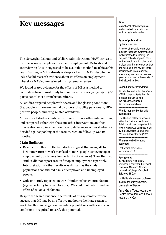# **Key messages**

The Norwegian Labour and Welfare Administration (NAV) strives to include as many people as possible in employment. Motivational Interviewing (MI) is suggested to be a suitable method to achieve this goal. Training in MI is already widespread within NAV, despite the lack of solid research evidence about its effects on employment, wherefore NAV commissioned this systematic review.

We found scarce evidence for the effects of MI as a method to facilitate return to work: only five controlled studies (range 29 to 500 participants) met our inclusion criteria.

All studies targeted people with severe and longlasting conditions (i.e. people with severe mental disorders, disability pensioners, HIVpositive people, and drug-related offenders).

MI was in all studies combined with one or more other interventions, and compared either with the same other intervention, another intervention or no intervention. Due to differences across studies we decided against pooling of the results. Median follow up was 12 months.

#### **Main findings:**

- Results from three of the five studies suggest that using MI to facilitate return to work may lead to more people achieving open employment (low to very low certainty of evidence). The other two studies did not report results for open employment separately. Interpretation of other results was difficult as the study populations constituted a mix of employed and unemployed people.
- Only one study reported on work-hindering behavioural factors (e.g. expectancy to return to work). We could not determine the effect of MI on such factors.

Despite the scarce evidence, the results of this systematic review suggest that MI may be an effective method to facilitate return to work. Further investigation, including populations with less severe conditions is required to verify this potential.

#### **Title:**

Motivational Interviewing as a method to faclititate return to work: a systematic review.

---------------------------------------

#### **Type of publication:**

Systematic review

A review of a clearly formulated question that uses systematic and explicit methods to identify, select, and critically appraise relevant research, and to collect and analyse data from the studies that are included in the review. Statistical methods (meta-analysis) may or may not be used to analyse and summarise the results of the included studies.

#### --------------------------------------- **Doesn't answer everything:**

-No studies evaluating the effects of MI in other contexts than for facilitating return to work -No full cost-evaluation -No recommendations

#### --------------------------------------- **Who is responsible for this publication:**

The Division of Health services within the National Institute of Public Health has completed this review which was commissioned by the Norwegian Labour and Welfare Administration (NAV)

#### --------------------------------------- **When were the literature searched:**

---------------------------------------

Last search for studies: November 2016.

#### **Peer review:**

Ira Malmberg-Heimonen, professor, Faculty for the Social Sciences, Oslo and Akershus University College of Applied Sciences (HIOA);

Liv Heide Magnussen, professor, Institute for ergo/fysio/radio, University of Bergen

Anne-Grete Tøge, researcher, Centre for welfare and Labour research, HIOA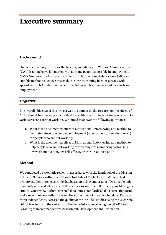## **Executive summary**

#### **Background**

One of the main objectives for the Norwegian Labour and Welfare Administration (NAV) is an inclusive job market with as many people as possible in employment. NAV's Guidance Platform points explicitly to Motivational Interviewing (MI) as a suitable method to achieve this goal. In Norway, training in MI is already widespread within NAV, despite the lack of solid research evidence about its effects on employment.

#### **Objective**

The overall objective of this project was to summarise the research on the effects of Motivational Interviewing as a method to facilitate return to work for people who for various reasons are not working. We aimed to answer the following questions:

- 1. What is the documented effect of Motivational Interviewing as a method to facilitate return to open paid employment (alternatively to remain in work) for people who are not working?
- 2. What is the documented effect of Motivational Interviewing as a method to help people who are not working overcoming work-hindering factors (e.g. low work-motivation, low self-efficacy or work-readiness etc)?

#### **Method**

We conducted a systematic review in accordance with the handbook of the Division of Health Services within the National Institute of Public Health. We searched for primary studies in ten electronic databases up to November 2016. Two people independently screened all titles, and thereafter assessed the full texts of possible eligible studies. One review author extracted data onto a standardised data extraction form, and a second review author checked the correctness of the extracted data. Two authors independently assessed the quality of the included studies using the Cochrane risk of bias tool and the certainty of the included evidence using the GRADE tool (Grading of Recommendations Assessment, Development and Evaluation).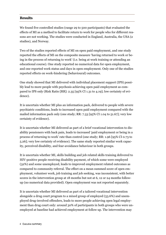#### **Results**

We found five controlled studies (range 29 to 500 participants) that evaluated the effects of MI as a method to facilitate return to work for people who for different reasons are not working. The studies were conducted in England, Australia, the USA (2 studies), and Norway.

Two of the studies reported effects of MI on open paid employment, and one study reported the effects of MI on the composite measure 'having returned to work or being in the process of returning to work' (i.e. being at work training or attending an educational course). One study reported no numerical data for open employment, and one reported work status and days in open employment. Only one of the studies reported effects on work-hindering (behavioural) outcomes.

One study showed that MI delivered with individual placement support (IPS) possibly lead to more people with psychosis achieving open paid employment as compared to IPS only (Risk Ratio [RR]: 2.35 [95% CI 1.31 to 4.19]; low certainty of evidence).

It is uncertain whether MI plus an information pack, delivered to people with severe psychiatric conditions, leads to increased open paid employment compared with the mailed information pack only (one study; RR: 7.33 [95% CI 1.04 to 51.67]; very low certainty of evidence).

It is uncertain whether MI delivered as part of a brief vocational intervention to disability pensioners with back pain, leads to increased 'paid employment or being in a process of returning to work' rate than control (one study; RR: 1.96 [95% CI 0.73 to 5.26]; very low certainty of evidence). The same study reported similar work capacity, perceived disability, and fear-avoidance behaviour in both groups.

It is uncertain whether MI, skills building and job related skills training delivered to HIV-positive people receiving disability payment, of which some were employed (32%) and some unemployed, leads to improved employment related outcomes as compared to community referral. The effect on a mean summed score of open employment, volunteer work, job training and job seeking, was inconsistent, with better scores in the intervention group at 18 months but not at 6, 12 or 24 months followup (no numerical data provided). Open employment was not reported separately.

It is uncertain whether MI delivered as part of a tailored vocational intervention alongside a drug court program to a mixed group of employed (53.6%) and unemployed drug-involved offenders, leads to more people achieving open legal employment than drug court only: around 30% of participants in both groups who were unemployed at baseline had achieved employment at follow up. The intervention may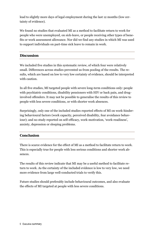lead to slightly more days of legal employment during the last 12 months (low certainty of evidence).

We found no studies that evaluated MI as a method to facilitate return to work for people who were unemployed, on sick-leave, or people receiving other types of benefits or work assessment allowance. Nor did we find any studies in which MI was used to support individuals on part-time sick leave to remain in work.

#### **Discussion**

We included five studies in this systematic review, of which four were relatively small. Differences across studies prevented us from pooling of the results. The results, which are based on low to very low certainty of evidence, should be interpreted with caution.

In all five studies, MI targeted people with severe long-term conditions only: people with psychiatric conditions, disability pensioners with HIV or back pain, and druginvolved offenders. It may not be possible to generalise the results of this review to people with less severe conditions, or with shorter work absences.

Surprisingly, only one of the included studies reported effects of MI on work-hindering behavioural factors (work capacity, perceived disability, fear avoidance behaviour); and no study reported on self-efficacy, work-motivation, 'work-readiness', anxiety, depression or sleeping problems.

#### **Conclusion**

There is scarce evidence for the effect of MI as a method to facilitate return to work. This is especially true for people with less serious conditions and shorter work absences.

The results of this review indicate that MI may be a useful method to facilitate return to work. As the certainty of the included evidence is low to very low, we need more evidence from large well-conducted trials to verify this.

Future studies should preferably include behavioural outcomes, and also evaluate the effects of MI targeted at people with less severe conditions.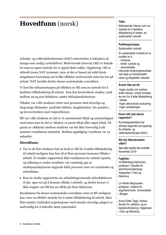# **Hovedfunn** (norsk)

Arbeids- og velferdsdirektoratet (NAV) etterstreber å inkludere så mange som mulig i arbeidslivet. Motiverende Intervju (MI) er betraktet som en egnet metode for å oppnå dette målet. Opplæring i MI er utbredt innen NAV systemet, uten at det er basert på solid forskningsbasert kunnskap om hvilke effekter motiverende intervju har på arbeid. NAV bestilte derfor denne systematiske oversikten.

Vi fant lite dokumentasjon på effekten av MI som en metode for å fasilitere tillbakeføring til arbeid. Kun fem kontrollerte studier, med mellom 29 og 500 deltakere, møtte inklusjonskriteriene.

Tiltaket var i alle studiene rettet mot personer med alvorlige og langvarige tilstander: psykiske lidelser, langtidsuføre, hiv-positive , og lovovertredere med rusproblemer.

MI var i alle studiene en del av et sammensatt tiltak og sammenlignet med enten kun én del av tiltaket, et annet tiltak eller ingen tiltak. På grunn av ulikheter mellom studiene var det ikke forsvarlig å slå sammen resultatene statistisk. Median oppfølging i studiene var 12 måneder.

#### **Hovedfunn:**

- Tre av de fem studiene fant at bruk av MI for å støtte tilbakeføring til arbeid muligens kan føre til at flere personer kommer tilbake i arbeid. To studier rapporterte ikke resultatene for arbeid separat, og tolkning av andre resultater var vanskelig pga at studiepopulasjonene utgjorde både personer som var sysselsatte og arbeidsløse.
- Kun én studie rapporterte om arbeidsbegrensende atferdsfaktorer (f.eks. egen tro på å komme tilbake i arbeid), og derfor kunne vi ikke avgjøre om MI har en effekt på disse faktorene.

Resultatene fra denne systematiske oversikten viser at MI muligens kan være en effektiv metode for å støtte tilbakeføring til arbeid. Men flere studier (inkludert populasjoner med mindre alvorlige plager) er nødvendig for å bekrefte dette potensialet.

#### **Tittel:**

Motiverende Interviu som en metode for å fasilitere tilbakeføring til arbeid: en systematisk oversikt ----------------------------------------

#### **Publikasjonstype:**

Systematisk oversikt

En systematisk oversikt er resultatet av å

- innhente
- kritisk vurdere og
- sammenfatte

relevante forskningsresultater ved hjelp av forhåndsdefinerte og eksplisitte metoder. ----------------------------------------

#### **Svarer ikke på alt:**

-Ingen studier om motiverende intervju i andre kontekster enn for å lette tilbakeføring i arbeid

-Ingen økonomisk evaluering -Ingen anbefalinger ----------------------------------------

#### **Hvem står bak denne rapporten?**

Kunnskapssenteret har skrevet rapporten på oppdrag fra Arbeids- og velferdsdirektoratet (NAV)

-----------------------------

#### **Når ble litteratursøket utført?**

Søk etter studier ble avsluttet November 2016

----------------------------------------

#### **Fagfeller:**

Ira Malmberg-Heimonen, professor, Fakultet for sammfunnsvitenskap, Høgskolen i Oslo og Akershus

Liv Heide Magnussen, professor, Institutt for ergo/fysio/radio, Universitetet i Bergen

Anne-Grete Tøge, forsker, Senter for velferds- og arbeidslivsforskning, Høgskolen i Oslo og Akershus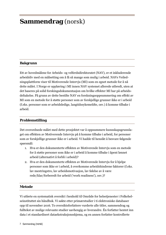# **Sammendrag** (norsk)

#### **Bakgrunn**

Ett av hovedmålene for Arbeids- og velferdsdirektoratet (NAV), er et inkluderende arbeidsliv med en målsetting om å få så mange som mulig i arbeid. NAVs Veiledningsplattform viser til Motiverende Intervju (MI) som en egnet metode for å nå dette målet. I Norge er opplæring i MI innen NAV systemet allerede utbredt, uten at det baseres på solid forskingsdokumentasjon om hvilke effekter MI har på arbeidsdeltakelse. På grunn av dette bestilte NAV en forskningsoppsummering om effekt av MI som en metode for å støtte personer som av forskjellige grunner ikke er i arbeid (f.eks. personer som er arbeidsledige, langtidssykemeldte, osv.) å komme tilbake i arbeid.

#### **Problemstilling**

Det overordnede målet med dette prosjektet var å oppsummere kunnskapsgrunnlaget om effekten av Motiverende Intervju på å komme tilbake i arbeid, for personer som av forskjellige grunner ikke er i arbeid. Vi hadde til hensikt å besvare følgende spørsmål:

- 1. Hva er den dokumenterte effekten av Motiverende Intervju som en metode for å støtte personer som ikke er i arbeid å komme tilbake i åpent lønnet arbeid (alternativt å forbli i arbeid)?
- 2. Hva er den dokumenterte effekten av Motiverende Intervju for å hjelpe personer som ikke er i arbeid, å overkomme arbeidshindrene faktorer (f.eks. lav mestringstro, lav arbeidsmotivasjon, lav følelse av å være rede/klar/forberedt for arbeid ('work readiness'), osv.)?

#### **Metode**

Vi utførte en systematisk oversikt i henhold til Område for helsetjenester i Folkehelseinstituttet sin håndbok. Vi søkte etter primærstudier i ti elektroniske databaser opp til november 2016. To oversiktsforfattere vurderte alle titler, sammendrag og fulltekst av mulige relevante studier uavhengig av hverandre. Én forfatter hentet inn data i et standardisert dataekstraksjonsskjema, og en annen forfatter kontrollerte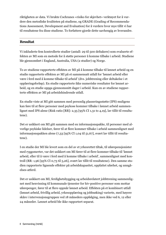riktigheten av data. Vi brukte Cochranes «risiko for skjevhet» verktøyet for å vurdere den metodiske kvaliteten på studiene, og GRADE (Grading of Recommendations Assessment, Development and Evaluation) for å vurdere hvor mye tillit vi har til resultatene fra disse studiene. To forfattere gjorde dette uavhengig av hverandre.

#### **Resultat**

Vi inkluderte fem kontrollerte studier (antall: 29 til 500 deltakere) som evaluerte effekten av MI som en metode for å støtte personer å komme tilbake i arbeid. Studiene ble gjennomført i England, Australia, USA (2 studier) og Norge.

To av studiene rapporterte effekten av MI på å komme tilbake til lønnet arbeid og en studie rapporterte effekten av MI på et sammensatt utfall for 'lønnet arbeid eller være i ferd med å komme tilbake til arbeid' (dvs. jobbtrening eller deltakelse i et opplæringsforløp). En studie rapporterte ikke numeriske resultater for lønnet arbeid, og en studie oppga gjennomsnitt dager i arbeid. Kun en av studiene rapporterte effekten av MI på arbeidshindrende utfall.

En studie viste at MI gitt sammen med personlig plasseringsstøtte (IPS) muligens kan føre til at flere personer med psykose kommer tilbake i lønnet arbeid sammenlignet med IPS alene (Risk ratio [RR]: 2,35 [95% CI 1,31 to 4,19], lav tillit til resultatene).

Det er usikkert om MI gitt sammen med en informasjonspakke, til personer med alvorlige psykiske lidelser, fører til at flere kommer tilbake i arbeid sammenlignet med informasjonspakken alene (7,33 [95% CI 1,04 til 51,67], svært lav tillit til resultatene).

I en studie der MI ble levert som en del av et yrkesrettet tiltak, til uførepensjonister med ryggsmerter, var det usikkert om MI fører til at flere kommer tilbake til 'lønnet arbeid, eller til å være i ferd med å komme tilbake i arbeid', sammenlignet med kontroll (RR: 1,96 [95% CI 0,73 til 5,26], svært lav tillit til resultatene). Den samme studien rapporterte lignende effekter på arbeidskapasitet, oppfattet uførhet, og unngåelses-atferd.

Det er usikkert om MI, ferdighetsbygging og arbeidsrelatert jobbtrening sammenlignet med henvisning til kommunale tjenester for hiv-positive personer som mottar uførepenger, fører til at flere oppnår lønnet arbeid. Effekten på et kombinert utfall (lønnet arbeid, frivillig arbeid, yrkesopplæring og jobbsøking) varierte, med høyere skåre i intervensjonsgruppen ved 18 måneders oppfølging, men ikke ved 6, 12 eller 24 måneder. Lønnet arbeid ble ikke rapportert separat.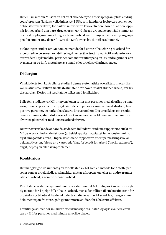Det er usikkert om MI som en del av et skreddersydd arbeidsprogram pluss et 'drug court' program (juridisk veiledningsrett i USA som håndterer lovbrytere som er voldelige stoffmisbrukere) for narkotikainvolverte lovovertredere, fører til at flere oppnår lønnet arbeid enn bare 'drug courts': 30 % i begge gruppene oppnådde lønnet arbeid ved oppfølging. Antall dager i lønnet arbeid var litt høyere i intervensjonsgruppen (en studie; 10,2 dager [-32,19 til 11,79]; svært lav tillit til resultatene).

Vi fant ingen studier om MI som en metode for å støtte tilbakeføring til arbeid for arbeidsledige personer, rehabiliteringsklienter (bortsett fra narkotikarelaterte lovovertredere), sykemeldte, personer som mottar uførepensjon (av andre grunner enn ryggsmerter og hiv), mottakere av stønad eller arbeidsavklaringspenger.

#### **Diskusjon**

Vi inkluderte fem kontrollerte studier i denne systematiske oversikten, hvorav fire var relativt små. Tilliten til effektestimatene for hovedutfallet (lønnet arbeid) var lav til svært lav. Derfor må resultatene tolkes med forsiktighet.

I alle fem studiene var MI-intervensjonen rettet mot personer med alvorlige og langvarige plager: personer med psykiske lidelser, personer som var langtidsuføre, hivpositive personer, og narkotikarelaterte lovovertredere. Det er usikkert om resultatene fra denne systematiske oversikten kan generaliseres til personer med mindre alvorlige plager eller med kortere arbeidsfravær.

Det var overraskende at bare én av de fem inkluderte studiene rapporterte effekt av MI på arbeidshindrende faktorer (arbeidskapasitet, oppfattet funksjonshemming, frykt-unngående atferd). Ingen av studiene rapporterte effekt på mestringstro, arbeidsmotivasjon, følelse av å være rede/klar/forberedt for arbeid ('work readiness'), angst, depresjon eller søvnproblemer.

#### **Konklusjon**

Det mangler god dokumentasjon for effekten av MI som en metode for å støtte personer som er arbeidsledige, sykmeldte, mottar uførepensjon, eller av andre grunner ikke er i arbeid, å komme tilbake i arbeid.

Resultatene av denne systematiske oversikten viser at MI muligens kan være en nyttig metode for å hjelpe folk tilbake i arbeid, men siden tilliten til effektestimatene for tilbakeføring til arbeid fra de inkluderte studiene var lav til svært lav, trenger vi mer dokumentasjon fra store, godt gjennomførte studier, for å bekrefte effekten.

Fremtidige studier bør inkludere atferdsmessige resultater, og også evaluere effekten av MI for personer med mindre alvorlige plager.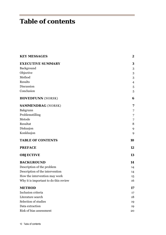# **Table of contents**

| <b>KEY MESSAGES</b>                   | $\boldsymbol{2}$ |
|---------------------------------------|------------------|
| <b>EXECUTIVE SUMMARY</b>              | $\bf{3}$         |
| Background                            | 3                |
| Objective                             | 3                |
| Method                                | 3                |
| Results                               | $\overline{4}$   |
| Discussion                            | 5                |
| Conclusion                            | 5                |
| <b>HOVEDFUNN</b> (NORSK)              | 6                |
| <b>SAMMENDRAG</b> (NORSK)             | 7                |
| Bakgrunn                              | 7                |
| Problemstilling                       | 7                |
| Metode                                | 7                |
| Resultat                              | 8                |
| Diskusjon                             | 9                |
| Konklusjon                            | 9                |
| <b>TABLE OF CONTENTS</b>              | 10               |
| <b>PREFACE</b>                        | 12               |
| <b>OBJECTIVE</b>                      | 13               |
| <b>BACKGROUND</b>                     | 14               |
| Description of the problem            | 14               |
| Description of the intervention       | 14               |
| How the intervention may work         | 15               |
| Why it is important to do this review | 16               |
| <b>METHOD</b>                         | 17               |
| Inclusion criteria                    | 17               |
| Literature search                     | 18               |
| Selection of studies                  | 19               |
| Data extraction                       | 19               |
| Risk of bias assessment               | 20               |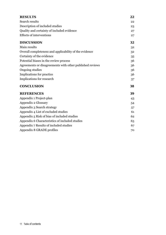| <b>RESULTS</b>                                           | 22 |
|----------------------------------------------------------|----|
| Search results                                           | 22 |
| Description of included studies                          | 23 |
| Quality and certainty of included evidence               | 27 |
| <b>Effects of interventions</b>                          | 27 |
| <b>DISCUSSION</b>                                        | 32 |
| Main results                                             | 32 |
| Overall completeness and applicability of the evidence   | 32 |
| Certainty of the evidence                                | 35 |
| Potential biases in the review process                   | 36 |
| Agreements or disagreements with other published reviews | 36 |
| Ongoing studies                                          | 36 |
| Implications for practice                                | 36 |
| Implications for research                                | 37 |
| <b>CONCLUSION</b>                                        | 38 |
| <b>REFERENCES</b>                                        | 39 |
| Appendix 1 Project-plan                                  | 43 |
| Appendix 2 Glossary                                      | 54 |
| Appendix 3 Search strategy                               | 57 |
| Appendix 4 List of excluded studies                      | 61 |
| Appendix 5 Risk of bias of included studies              | 62 |
| Appendix 6 Characteristics of included studies           | 63 |
| Appendix 7 Results of included studies                   | 67 |
| Appendix 8 GRADE profiles                                | 70 |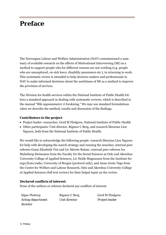# **Preface**

The Norwegian Labour and Welfare Administration (NAV) commissioned a summary of available research on the effects of Motivational Interviewing (MI) as a method to support people who for different reasons are not working (e.g. people who are unemployed, on sick leave, disability pensioners etc.), in returning to work. This systematic review is intended to help decision-makers and professionals in NAV to make informed decisions about the usefulness of MI as a method to improve the provision of services.

The Division for health services within the National Institute of Public Health follows a standard approach in dealing with systematic reviews, which is described in the manual "Slik oppsummerer vi forskning." We may use standard formulations when we describe the method, results and discussion of the findings.

#### **Contributors to the project**:

- Project leader: researcher, Gerd M Flodgren, National Institute of Public Health
- Other participants: Unit director, Rigmor C Berg, and research librarian Lien Nguyen, both from the National Institute of Public Health.

We would like to acknowledge the following people: research librarian Lien Nguyen for help with developing the search strategy and running the searches, internal peer referees Gunn Elisabeth Vist and Liv Merete Reinar, external peer referees Ira Malmberg-Heimonen from the Faculty for the Social Sciences at Oslo and Akershus University College of Applied Sciences, Liv Heide Magnussen from the Institute for ergo/fysio/radio, University of Bergen (protocol only), and Anne-Grete Tøge from the Centre for Welfare and Labour Research, Oslo and Akershus University College of Applied Sciences (full text review) for their helpul input on the review.

#### **Declared conflicts of interest:**

None of the authors or referees declared any conflicts of interest.

Signe Flottorp *Acting department director* 

Rigmor C Berg *Unit director* 

Gerd M Flodgren *Project leader*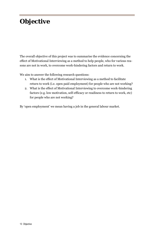# **Objective**

The overall objective of this project was to summarise the evidence concerning the effect of Motivational Interviewing as a method to help people, who for various reasons are not in work, to overcome work-hindering factors and return to work.

We aim to answer the following research questions:

- 1. What is the effect of Motivational Interviewing as a method to facilitate return to work (i.e. open paid employment) for people who are not working?
- 2. What is the effect of Motivational Interviewing to overcome work-hindering factors (e.g. low motivation, self-efficacy or readiness to return to work, etc) for people who are not working?

By 'open employment' we mean having a job in the general labour market.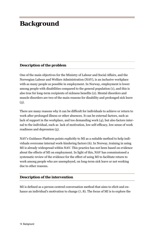# **Background**

#### **Description of the problem**

One of the main objectives for the Ministry of Labour and Social Affairs, and the Norwegian Labour and Welfare Administration (NAV), is an inclusive workplace with as many people as possible in employment. In Norway, employment is lower among people with disabilities compared to the general population (1), and this is also true for long-term recipients of sickness benefits (2). Mental disorders and muscle disorders are two of the main reasons for disability and prolonged sick leave  $(3).$ 

There are many reasons why it can be difficult for individuals to achieve or return to work after prolonged illness or other absences. It can be external factors, such as lack of support in the workplace, and too demanding work (4), but also factors internal to the individual, such as lack of motivation, low self-efficacy, low sense of work readiness and depression (5).

NAV's Guidance Platform points explicitly to MI as a suitable method to help individuals overcome internal work-hindering factors (6). In Norway, training in using MI is already widespread within NAV. This practice has not been based on evidence about the effects of MI on employment. In light of this, NAV has commissioned a systematic review of the evidence for the effect of using MI to facilitate return to work among people who are unemployed, on long-term sick leave or not working due to other reasons.

#### **Description of the intervention**

MI is defined as a person-centred conversation method that aims to elicit and enhance an individual's motivation to change (7, 8). The focus of MI is to explore the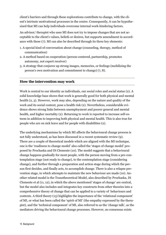client's barriers and through these explorations contribute to change, with the client's intrinsic motivational processes in the centre. Consequently, it can be hypothesized that MI can help individuals overcome internal work-hindering factors.

An advisor/ therapist who uses MI does not try to impose changes that are not acceptable to the client's values, beliefs or desires, but supports amendment in accordance with these (7). MI can also be described through its three key elements:

- 1. A special kind of conversation about change (counseling, therapy, method of communication)
- 2. A method based on cooperation (person-centered, partnership, promotes autonomy, not expert receiver)
- 3. A strategy that conjures up strong images, memories, or feelings (mobilizing the person's own motivation and commitment to change) (7, 8).

#### **How the intervention may work**

Work is central to our identity as individuals, our social roles and social status (2). A solid knowledge base shows that work is generally good for both physical and mental health (2, 3). However, work may also, depending on the nature and quality of the work and its social context, pose a health risk (2). Nevertheless, considerable evidence shows strong links between unemployment and poorer general and mental health, and higher mortality (2). Returning to work is reported to increase self-esteem in addition to improving both physical and mental health. This is also true for people who are on sick leave and for people with disabilities (2).

The underlying mechanisms by which MI affects the behavioural change process is not fully understood, as has been discussed in a recent systematic review (9). There are a couple of theoretical models which are aligned with the MI technique, one is the 'readiness to change model' also called the 'stages of change model' proposed by Prochaska and Di Clemente (10). The model suggests that a behavioural change happens gradually for most people, with the person moving from a pre-contemplation stage (not ready to change), to the contemplation stage (considering change), and further through a preparation and action stage during which the person first decides, and finally acts, to accomplish change. There is also a relapse prevention stage, in which attempts to maintain the new behaviour are made (10). Another related model is the Transtheoretical Model, also described by Prochaska, Di Clemente et al (11, 12), in which the above mentioned 'stages of change' are central, but the model also includes and integrates key constructs from other theories into a comprehensive theory of change that can be applied to a variety of behaviours and contexts. A third theory (13) highlights the importance of the 'relational component' of MI, or what has been called the 'spirit of MI' (the empathy expressed by the therapist), and the 'technical component' of MI, also referred to as the 'change talk', as the mediators driving the behavioural change processes. However, no consensus exists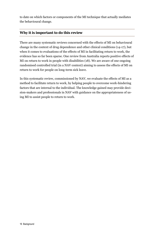to date on which factors or components of the MI technique that actually mediates the behavioural change.

#### **Why it is important to do this review**

There are many systematic reviews concerned with the effects of MI on behavioural change in the context of drug dependence and other clinical conditions (14-17), but when it comes to evaluations of the effects of MI in facilitating return to work, the evidence has so far been sparse. One review from Australia reports positive effects of MI on return to work in people with disabilities (18). We are aware of one ongoing randomised controlled trial (in a NAV context) aiming to assess the effects of MI on return to work for people on long-term sick leave.

In this systematic review, commissioned by NAV, we evaluate the effects of MI as a method to facilitate return to work, by helping people to overcome work-hindering factors that are internal to the individual. The knowledge gained may provide decision-makers and professionals in NAV with guidance on the appropriateness of using MI to assist people to return to work.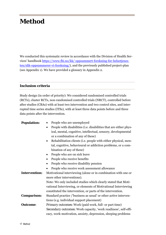# **Method**

We conducted this systematic review in accordance with the Division of Health Services' handbook https://www.fhi.no/kk/ oppsummert-forskning-for-helsetjenesten/slik-oppsummerer-vi-forskning/), and the previously published project-plan (see Appendix 1). We have provided a glossary in Appendix 2.

#### **Inclusion criteria**

Study design (in order of priority): We considered randomised controlled trials (RCTs), cluster RCTs, non-randomised controlled trials (NRCT), controlled before after studies (CBAs) with at least two intervention and two control sites, and interrupted time series studies (ITSs), with at least three data points before and three data points after the intervention.

| <b>Population:</b>   | People who are unemployed<br>٠                                              |  |  |  |  |  |  |
|----------------------|-----------------------------------------------------------------------------|--|--|--|--|--|--|
|                      | People with disabilities (i.e. disabilities that are either phys-<br>٠      |  |  |  |  |  |  |
|                      | ical, mental, cognitive, intellectual, sensory, developmental               |  |  |  |  |  |  |
|                      | or a combination of any of these)                                           |  |  |  |  |  |  |
|                      | Rehabilitation clients (i.e. people with either physical, men-<br>$\bullet$ |  |  |  |  |  |  |
|                      | tal, cognitive, behavioural or addiction problems, or a com-                |  |  |  |  |  |  |
|                      | bination of any of these)                                                   |  |  |  |  |  |  |
|                      | People who are on sick leave<br>$\bullet$                                   |  |  |  |  |  |  |
|                      | People who receive benefits                                                 |  |  |  |  |  |  |
|                      | People who receive disability pension                                       |  |  |  |  |  |  |
|                      | People who receive work assessment allowance                                |  |  |  |  |  |  |
| <b>Intervention:</b> | Motivational interviewing (alone or in combination with one or              |  |  |  |  |  |  |
|                      | more other interventions).                                                  |  |  |  |  |  |  |
|                      | Note: We only included studies which clearly stated that Moti-              |  |  |  |  |  |  |
|                      | vational Interviewing, or elements of Motivational Interviewing             |  |  |  |  |  |  |
|                      | constituted the intervention, or parts of the intervention.                 |  |  |  |  |  |  |
| <b>Comparison:</b>   | Standard practice /'business as usual' or other active interven-            |  |  |  |  |  |  |
|                      | tions (e.g. individual support placement)                                   |  |  |  |  |  |  |
| <b>Outcome:</b>      | <i>Primary outcomes</i> : Work (paid work, full- or part time)              |  |  |  |  |  |  |
|                      | Secondary outcomes: Work capacity, 'work readiness', self-effi-             |  |  |  |  |  |  |
|                      | cacy, work-motivation, anxiety, depression, sleeping problems               |  |  |  |  |  |  |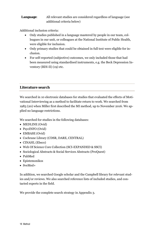#### **Language**: All relevant studies are considered regardless of language (see additional criteria below)

Additional inclusion criteria:

- Only studies published in a language mastered by people in our team, colleagues in our unit, or colleagues at the National Institute of Public Health, were eligible for inclusion.
- Only primary studies that could be obtained in full text were eligible for inclusion.
- For self-reported (subjective) outcomes, we only included those that had been measured using standardised instruments, e.g. the Beck Depression Inventory (BDI-II) (19) etc.

#### **Literature search**

We searched in 10 electronic databases for studies that evaluated the effects of Motivational Interviewing as a method to facilitate return to work. We searched from 1983 (20) when Miller first described the MI method, up to November 2016. We applied no language restrictions.

We searched for studies in the following databases:

- MEDLINE (Ovid)
- PsycINFO (Ovid)
- EMBASE (Ovid)
- Cochrane Library (CDSR, DARE, CENTRAL)
- CINAHL (Ebsco)
- Web Of Science Core Collection (SCI-EXPANDED & SSCI)
- Sociological Abstracts & Social Services Abstracts (ProQuest)
- PubMed
- Epistemonikos
- SveMed+

In addition, we searched Google scholar and the Campbell library for relevant studies and/or reviews. We also searched reference lists of included studies, and contacted experts in the field.

We provide the complete search strategy in Appendix 3.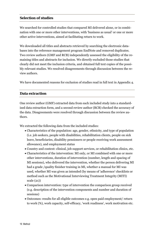#### **Selection of studies**

We searched for controlled studies that compared MI delivered alone, or in combination with one or more other interventions, with 'business as usual' or one or more other active interventions, aimed at facilitating return to work.

We downloaded all titles and abstracts retrieved by searching the electronic databases into the reference management program EndNote and removed duplicates. Two review authors (GMF and RCB) independently assessed the eligibility of the remaining titles and abstracts for inclusion. We directly excluded those studies that clearly did not meet the inclusion criteria, and obtained full text copies of the possibly relevant studies. We resolved disagreements through discussion between the review authors.

We have documented reasons for exclusion of studies read in full text in Appendix 4.

#### **Data extraction**

One review author (GMF) extracted data from each included study into a standardised data extraction form, and a second review author (RCB) checked the accuracy of the data. Disagreements were resolved through discussion between the review authors.

We extracted the following data from the included studies:

- Characteristics of the population: age, gender, ethnicity, and type of population (i.e. job seekers, people with disabilities, rehabilitation clients, people on sick leave, beneficiaries, disability pensioners or people receiving work assessment allowance), and employment status
- Country and context: clinical, job support services, or rehabilitation clinics, etc.
- Characteristics of the intervention: MI only, or MI combined with one or more other interventions, duration of intervention (number, length and spacing of MI sessions), who delivered the intervention, whether the person delivering MI had a grade /quality finisher training in MI, whether a manual for MI was used, whether MI was given as intended (by means of 'adherence' checklists or method such as the Motivational Interviewing Treatment Integrity (MITI) scale (21))
- Comparison intervention: type of intervention the comparison group received (e.g. description of the intervention components and number and duration of sessions)
- Outcomes: results for all eligible outcomes e.g. open paid employment/ return to work (%), work capacity, self-efficacy, 'work readiness', work motivation etc.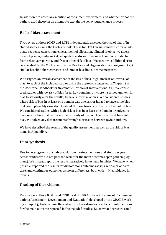In addition, we noted any mention of consumer involvement, and whether or not the authors used theory in an attempt to explain the behavioural change process.

#### **Risk of bias assessment**

Two review authors (GMF and RCB) independently assessed the risk of bias of included studies using the Cochrane risk of bias tool (22) on six standard criteria: adequate sequence generation, concealment of allocation, blinded or objective assessment of primary outcome(s), adequately addressed incomplete outcome data, free from selective reporting, and free of other risk of bias. We used two additional criteria specified by the Cochrane Effective Practice and Organisation of Care group (23): similar baseline characteristics, and similar baseline outcome measures.

We assigned an overall assessment of the risk of bias (high, unclear or low risk of bias) to each of the included studies using the approach suggested in Chapter 8 of the Cochrane Handbook for Systematic Reviews of Interventions (22). We considered studies with low risk of bias for all key domains, or where it seemed unlikely for bias to seriously alter the results, to have a low risk of bias. We considered studies where risk of bias in at least one domain was unclear, or judged to have some bias that could plausibly raise doubts about the conclusions, to have unclear risk of bias. We considered studies with a high risk of bias in at least one domain or judged to have serious bias that decreases the certainty of the conclusions to be at high risk of bias. We solved any disagreements through discussion between review authors.

We have described the results of the quality assessment, as well as the risk of bias items in Appendix 5.

#### **Data synthesis**

Due to heterogeneity of study populations, co-interventions and study designs across studies we did not pool the result for the main outcome (open paid employment). We instead report the results narratively in text and in tables. We have, when possible, reported the results for dichotomous outcomes as risk ratios (or odds ratios), and continuous outcomes as mean differences, both with 95% confidence intervals.

#### **Grading of the evidence**

Two review authors (GMF and RCB) used the GRADE tool (Grading of Recommendations Assessment, Development and Evaluation) developed by the GRADE working group (24) to determine the certainty of the estimates of effects of interventions for the main outcome reported in the included studies, i.e. to what degree we could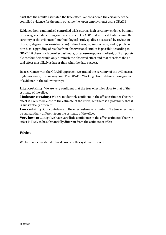trust that the results estimated the true effect. We considered the certainty of the compiled evidence for the main outcome (i.e. open employment) using GRADE.

Evidence from randomised controlled trials start as high certainty evidence but may be downgraded depending on five criteria in GRADE that are used to determine the certainty of the evidence: i) methodological study quality as assessed by review authors, ii) degree of inconsistency, iii) indirectness, iv) imprecision, and v) publication bias. Upgrading of results from observational studies is possible according to GRADE if there is a large effect estimate, or a dose-response gradient, or if all possible confounders would only diminish the observed effect and that therefore the actual effect most likely is larger than what the data suggest.

In accordance with the GRADE approach, we graded the certainty of the evidence as high, moderate, low, or very low. The GRADE Working Group defines these grades of evidence in the following way:

**High certainty:** We are very confident that the true effect lies close to that of the estimate of the effect

**Moderate certainty:** We are moderately confident in the effect estimate: The true effect is likely to be close to the estimate of the effect, but there is a possibility that it is substantially different

**Low certainty:** Our confidence in the effect estimate is limited: The true effect may be substantially different from the estimate of the effect

**Very low certainty:** We have very little confidence in the effect estimate: The true effect is likely to be substantially different from the estimate of effect

#### **Ethics**

We have not considered ethical issues in this systematic review.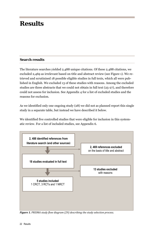# **Results**

#### **Search results**

The literature searches yielded 2,488 unique citations. Of these 2,488 citations, we excluded 2,469 as irrelevant based on title and abstract review (see Figure 1). We retrieved and scrutinised 18 possible eligible studies in full texts, which all were published in English. We excluded 13 of these studies with reasons. Among the excluded studies are three abstracts that we could not obtain in full text (25-27), and therefore could not assess for inclusion. See Appendix 4 for a list of excluded studies and the reasons for exclusion.

As we identified only one ongoing study (28) we did not as planned report this single study in a separate table, but instead we have described it below.

We identified five controlled studies that were eligible for inclusion in this systematic review. For a list of included studies, see Appendix 6.



*Figure 1. PRISMA study flow diagram (29) describing the study selection process.*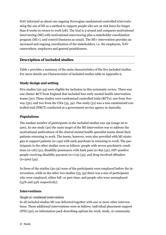NAV informed us about one ongoing Norwegian randomized controlled trial evaluating the use of MI as a method to support people who are on sick leave for longer than 8 weeks to return to work (28). The trial is 3-armed and compares motivational interviewing (MI) with motivational interviewing plus a stakeholder coordination program (MI+), and control (business as usual). The MI+ intervention provides an increased and ongoing coordination of the stakeholders, i.e. the employees, NAV caseworkers, employers and general practitioners.

#### **Description of included studies**

Table 1 provides a summary of the main characteristics of the five included studies. For more details see Characteristics of included studies table in Appendix 6.

#### **Study design and setting**

Five studies (30-34) were eligible for inclusion in this systematic review. There was one cluster-RCT from England that included four early mental health intervention teams (30). Three studies were randomized controlled trials (RCTs): one from Norway (32), and two from the USA (33, 34). One study (31) was a non-randomized controlled trial (NRCT) conducted at a government service agency in Australia.

#### **Populations**

The median number of participants in the included studies was 159 (range 26 to 500). In one study (30) the main target of the MI intervention was to address the motivational ambivalence of the clinical mental health specialist teams about their patients returning to work. The teams, however, were also provided with MI strategies to support patients (n=159) with early psychosis in returning to work. The participants in the other studies were as follows: people with severe psychiatric conditions (n=26) (31), disability pensioners with back pain (n=89) (32), HIV-positive people receiving disability payment  $(n=174)$  (33), and drug-involved offenders  $(n=500)(34)$ .

In three of the studies (30-32) none of the participants were employed before the intervention, while in the other two studies (33, 34) there was a mix of participants who were employed, either full- or part-time, and people who were unemployed (33% and 54% respectively).

#### **Interventions**

#### *Single or combined intervention*

In all included studies MI was delivered together with one or more other interventions. These additional interventions were as follows: individual placement support (IPS) (30); an information pack describing options for work, study, or community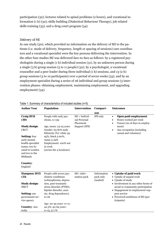participation (32); lectures related to spinal problems (2 hours), and vocational information (1 h) (32); skills building (Dialectical Behaviour Therapy), job related skills training (33), and a drug court program (34).

#### *Delivery of MI*

In one study (30), which provided no information on the delivery of MI to the patients (i.e. mode of delivery, frequency, length or spacing of sessions) care coordinators and a vocational specialist were the key persons delivering the intervention. In the other four studies MI was delivered face-to-face as follows: by a registered psychologists during a single (1 h) individual session (31), by an unknown person during a single (3 h) group session (5 to 11 people) (32), by a psychologist, a vocational counsellor and a peer leader during three individual (1 h) sessions, and 13 (2 h) group sessions (3 to 10 participants) over a period of seven weeks (33), and by an employment specialist during a series of 26 individual and group sessions (3 intervention phases: obtaining employment, maintaining employment, and upgrading employment) (34).

| <b>Author Year</b>                                                                                                    | <b>Population</b>                                                                               | <b>Intervention</b>                          | Compari-                             | <b>Outcomes</b>                                                                                                       |  |
|-----------------------------------------------------------------------------------------------------------------------|-------------------------------------------------------------------------------------------------|----------------------------------------------|--------------------------------------|-----------------------------------------------------------------------------------------------------------------------|--|
|                                                                                                                       |                                                                                                 |                                              | son                                  |                                                                                                                       |  |
| Craig 2014<br>(30)                                                                                                    | People with early psy-<br>chosis, $n=159$                                                       | $MI + Individ-$<br>ual Personal<br>Placement | IPS only                             | Open paid employment<br>$\bullet$<br>Hours worked per week<br>$\bullet$<br>Tenure (no of days in employ-<br>$\bullet$ |  |
| <b>Study design:</b><br><b>CRCT</b>                                                                                   | Age, mean: 23-25 years<br>Gender: 63-81% male<br>Ethnicity (%): white 33-                       | Support (IPS)                                |                                      | ment)<br>Any occupation (including<br>$\bullet$<br>casual and voluntary)                                              |  |
| Setting: four<br>early mental<br>health specialist<br>teams; two lo-<br>cated to London<br>and two to the<br>Midlands | 95%; black 5-60%;<br>Asian 3-29%<br>Employment: 100% not<br>in work<br>(across the 4 locations) |                                              |                                      |                                                                                                                       |  |
| <b>Country:</b><br>England                                                                                            |                                                                                                 |                                              |                                      |                                                                                                                       |  |
| <b>Hampson 2015</b><br>(31)                                                                                           | People with severe psy-<br>chiatric conditions<br>(schizophrenia, depres-                       | $MI+$ infor-<br>mation pack                  | Information<br>pack only<br>(mailed) | • Uptake of paid work<br>• Uptake of unpaid work<br>• Uptake of study                                                 |  |
| <b>Study design:</b><br><b>NRCT</b>                                                                                   | sion, post-traumatic<br>stress disorder (PTSD),<br>bipolar disorder, anxi-                      |                                              |                                      | • Involvement in any other forms of<br>social or community participation<br>• Engagement in employment sup-           |  |
| Setting: one<br>government ser-<br>vice agency                                                                        | ety, drug dependence),<br>$n=26$                                                                |                                              |                                      | port service<br>• Perceived usefulness of MI (par-<br>ticipants)                                                      |  |
| <b>Country: Aus-</b><br>tralia                                                                                        | Age: 20-39 years- n=11;<br>42.3%; 40-69 years-<br>$n=15;57.7%$                                  |                                              |                                      |                                                                                                                       |  |

#### Table 1: Summary of characteristics of included studies (n=5)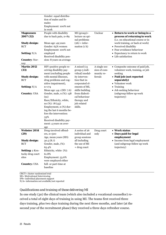| <b>Magnussen</b><br>2007 (32)<br><b>Study design:</b><br><b>RCT</b><br><b>Setting: N/A</b><br><b>Country: Nor-</b> | Gender: equal distribu-<br>tion of males and fe-<br>males<br>Employment: 100% not<br>in work<br>People with disability<br>due to back pain, n=89<br>Mean age: 49 years<br>Gender: 65% women<br>Employment: 100% not<br>employed<br>Received disability pen-<br>sion: 8 years on average | $MI (group)+$<br>lecture on spi-<br>nal problems<br>$(2h)$ + infor-<br>mation $(1 h)$ | Unclear                       | • Return to work or being in a<br>process of returning to work<br>(i.e. on educational course or in<br>work training, or back at work)<br>• Perceived disability<br>• Fear avoidance behaviour<br>• Expectancy to return to work<br>• Life satisfaction |
|--------------------------------------------------------------------------------------------------------------------|-----------------------------------------------------------------------------------------------------------------------------------------------------------------------------------------------------------------------------------------------------------------------------------------|---------------------------------------------------------------------------------------|-------------------------------|---------------------------------------------------------------------------------------------------------------------------------------------------------------------------------------------------------------------------------------------------------|
| way<br><b>Martin 2012</b><br>(33)                                                                                  | HIV-positive people re-<br>ceiving disability pay-                                                                                                                                                                                                                                      | A mixed (13<br>group-3 indi-                                                          | A single ses-<br>sion of com- | • Composite outcome of paid job,<br>volunteer work, training, or job                                                                                                                                                                                    |
| <b>Study design:</b>                                                                                               | ment (excluding people<br>with mental illnesses,                                                                                                                                                                                                                                        | vidual) modal-<br>ity interven-                                                       | munity re-<br>ferrals         | seeking<br>• Paid job (not reported                                                                                                                                                                                                                     |
| <b>RCT</b>                                                                                                         | drug problems and cog-<br>nitive impairment),                                                                                                                                                                                                                                           | tion that in-<br>corporated el-                                                       |                               | separately)<br>• Volunteer work                                                                                                                                                                                                                         |
| <b>Setting: N/A</b><br><b>Country: USA</b>                                                                         | $n = 174$<br>Mean age: 44.1 (SD: 7.6)<br>Gender, male, n (%): 158                                                                                                                                                                                                                       | ements of MI,<br>skills building<br>from dialecti-                                    |                               | • Training<br>· Job seeking behaviour<br>(subgroup follow up work                                                                                                                                                                                       |
|                                                                                                                    | (91)<br>Race/Ethnicity, white,<br>no (%): 78 (45)<br>Employment, n (%) dur-<br>ing the last 6 months be-<br>fore the intervention:<br>33%<br>Received disability pay-<br>ment: 4 years on aver-<br>age                                                                                  | cal behaviour<br>therapy and<br>job related<br>skills.                                |                               | trajectory)                                                                                                                                                                                                                                             |
| <b>Webster 2014</b><br>(29)<br><b>Study design:</b>                                                                | Drug-involved offend-<br>$ers, n=500$<br>Age, mean years (SD):<br>30.5(8.7)                                                                                                                                                                                                             | A series of 26<br>individual and<br>group sessions<br>all including                   | Drug court<br>only            | • Work status<br>• Days paid for legal<br>employment<br>• Income from legal employment                                                                                                                                                                  |
| <b>RCT</b>                                                                                                         | Gender, male, (%):<br>65.4%                                                                                                                                                                                                                                                             | the use of MI<br>+ drug court                                                         |                               | (and subgroup-follow up work<br>trajectory)                                                                                                                                                                                                             |
| Setting: 2 Ken-<br>tucky drug court<br>sites                                                                       | Ethnicity, white (%):<br>61.8%<br>Employment: 53.6%<br>were employed either                                                                                                                                                                                                             |                                                                                       |                               |                                                                                                                                                                                                                                                         |
| <b>Country: USA</b>                                                                                                | full- or part-time at<br>baseline                                                                                                                                                                                                                                                       |                                                                                       |                               |                                                                                                                                                                                                                                                         |

CRCT= cluster randomized trial

MI= Motivational Interviewing

IPS= individual placement support

N/A= information not available/not reported

#### *Qualifications and training of those delivering MI*

In one study (30) the clinical team (which also included a vocational counsellor) received a total of eight days of training in using MI. The teams first received three days training, plus two days training during the next three months, and later (at the second year of the recruitment phase) they received a three days refresher course.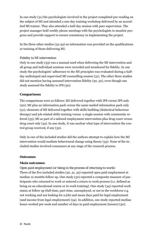In one study (31) the psychologists involved in the project completed pre-reading on the subject of MI and attended a one-day training workshop delivered by an accredited MI trainer. They also attended a half-day session with peer supervision. The project manager held weekly phone meetings with the psychologists to monitor progress and provide support to ensure consistency in implementing the project.

In the three other studies (32-34) no information was provided on the qualifications or training of those delivering MI.

#### *Fidelity to MI intervention*

Only in one study (33) was a manual used when delivering the MI intervention and all group and individual sessions were recorded and monitored for fidelity. In one study the psychologists' adherence to the MI principles was evaluated during a halfday audiotaped and supervised MI counselling session (31). The other three studies did not mention having assessed intervention fidelity (30, 32), even though one study assessed the fidelity to IPS (30).

#### **Comparisons**

The comparisons were as follows: MI delivered together with IPS versus IPS only (30); MI plus an information pack versus the same mailed information pack only (31); elements of MI delivered together with skills building (dialectical behaviour therapy) and job related skills training versus a single session with community referral (33); MI as part of a tailored employment intervention plus drug court versus drug court only (34). In one study, it was unclear what type of intervention the control group received, if any (32).

Only in one of the included studies did the authors attempt to explain how the MI intervention would mediate behavioural change using theory (33). None of the included studies involved consumers at any stage of the research process.

#### **Outcomes**

#### *Main outcomes:*

#### *Open paid employment (or being in the process of returning to work):*

Three of the five included studies (30, 31, 33) reported open paid employment at median 12 months follow up. One study (32) reported a composite measure of participants who returned to work or entered a return to work process (i.e. defined as being on an educational course or in work training). One study (34) reported work status at follow up (full-time, part-time, unemployed, or not in the workforce e.g. not working and not looking for a job) and mean days paid for legal employment (and income from legal employment) (34). In addition, one study reported median hours worked per week and number of days in paid employment (tenure) (30).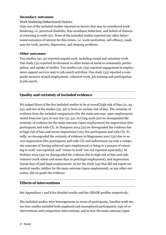#### *Secondary outcomes:*

#### *Work hindering (behavioural) factors:*

Only one of the included studies reported on factors that may be considered workhindering, i.e. perceived disability, fear-avoidance behaviour, and beliefs of chances of returning to work (31). None of the included studies reported any other behavioural outcomes of interest for this review, i.e. work-motivation, self-efficacy, readiness for work, anxiety, depression, and sleeping problems.

#### *Other outcomes:*

Two studies (30, 31) reported unpaid work, including casual and voluntary work. One study (31) reported involvement in other forms of social or community participation, and uptake of studies. Two studies (26, (33) reported engagement in employment support services and/or job search activities. One study (33) reported a composite measure of paid employment, volunteer work, job training and participation in job search.

#### **Quality and certainty of included evidence**

We judged three of the five included studies to be at overall high risk of bias (31, 33, 34), and two of the studies (30, 32) to have an unclear risk of bias. The certainty of evidence from the included comparisons (for the main outcome, open employment) varied from low (30), to very low (31, 32). In Craig 2016 (30) we downgraded the certainty of evidence for the main outcome (open employment) for imprecision (few participants and wide CI). In Hampson 2014 (31) we downgraded the evidence due to high risk of bias and severe imprecision (very few participants and wide CI). Finally, we downgraded the certainly of evidence in Magnussen 2007 (32) due to severe imprecision (few participants and wide CI), and indirectness (as only a composite outcome of 'having achieved open employment or being in a process of returning to work' was reported, and ''return to work' was not reported separately). In Webster 2014 (34) we downgraded the evidence due to high risk of bias and indirectness (work status and mean days in paid legal employment), and imprecision (mean days of paid legal employment). As for the study (33) that did not report numerical results, neither for the main outcome (open employment), or any other outcomes, did we grade the evidence.

#### **Effects of interventions**

See Appendices 7 and 8 for detailed results and the GRADE profiles respectively.

The included studies were heterogeneous in terms of participants, baseline work status (two studies included both employed and unemployed participants), type of cointerventions and comparison interventions, and in how the main outcome (open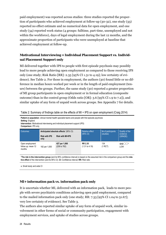paid employment) was reported across studies: three studies reported the proportion of participants who achieved employment at follow-up (30-32), one study (33) reported no effect estimate and no numerical data for open employment, and one study (34) reported work status (4 groups: fulltime, part-time, unemployed and not within the workforce), days of legal employment during the last 12 months, and the approximate proportion of participants who were unemployed at baseline that achieved employment at follow-up.

#### **Motivational Interviewing + Individual Placement Support vs. Individual Placement Support only**

MI delivered together with IPS to people with first episode psychosis may possibly lead to more people achieving open employment as compared to those receiving IPS only (one study; Risk Ratio [RR]: 2.35 [95% CI 1.31 to 4.19]; low certainty of evidence). See Table 2. For those in employment, the authors (30) found little or no difference in median hours worked per week or in the length of paid employment (tenure) between the groups. Further, the same study (30) reported a greater proportion of MI group participants in open employment or in formal education (composite outcome) than in the control group (Odds ratio [OR]: 3.6 [95% CI 1.9 to 7.2]), and similar uptake of any form of unpaid work across groups. See Appendix 7 for details.

|                 | <b>Intervention</b> . Motivational interviewing and individual placement support (IPS)<br><b>Comparison: IPS only</b> |                                        |                                          |                                  |                      |                                               |  |
|-----------------|-----------------------------------------------------------------------------------------------------------------------|----------------------------------------|------------------------------------------|----------------------------------|----------------------|-----------------------------------------------|--|
| <b>Outcomes</b> |                                                                                                                       | Anticipated absolute effects' (95% CI) |                                          | Relative effect                  | $N2$ of participants | Quality of the<br>evidence                    |  |
|                 |                                                                                                                       | <b>Risk with IPS</b><br>only           | <b>Risk with MI+IPS</b>                  | $(95% \text{ Cl})$               | (studies)            | (GRADE)                                       |  |
|                 | Open employment<br>follow up: mean 12<br>months                                                                       | 182 per 1,000                          | 427 per 1,000<br>$(238 \text{ to } 762)$ | <b>RR 2.35</b><br>(1.31 to 4.19) | 134<br>(1 RCT)       | $\oplus$ $\oplus$ $\odot$ <sup>a</sup><br>LOW |  |

Table 2: Summary of findings table on the effects of MI + IPS on open employment (Craig 2014)

**Patient or population**: clinical mental health specialist teams and people with first episode psychosis

**Intervention**: Motivational interviewing and individual placement support (IPS)

\***The risk in the intervention group** (and its 95% confidence interval) is based on the assumed risk in the comparison group and the **relative effect** of the intervention (and its 95% CI). **CI:** Confidence interval; **RR:** Risk ratio

a. Small study and wide CI

**Setting**: England

#### **MI+ information pack vs. information pack only**

It is uncertain whether MI, delivered with an information pack, leads to more people with severe psychiatric conditions achieving open paid employment, compared to the mailed information pack only (one study; RR: 7.33 [95% CI 1.04 to 51.67]; very low certainty of evidence). See Table 3.

The authors also reported similar uptake of any form of unpaid work, similar involvement in other forms of social or community participation, engagement with employment services, and uptake of studies across groups.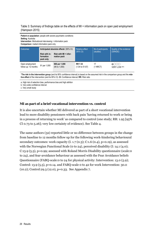Table 3: Summary of findings table on the effects of MI + information pack on open paid employment (Hampson 2015)

**Patient or population**: people with severe psychiatric conditions **Setting**: Australia **Intervention**: Motivational interviewing + information pack **Comparison**: mailed information pack only

| Outcomes                                | Anticipated absolute effects' (95% CI)  |                                           | <b>Relative effect</b><br>$(95% \text{ Cl})$ | $N2$ of participants | Quality of the evidence<br>(GRADE) |
|-----------------------------------------|-----------------------------------------|-------------------------------------------|----------------------------------------------|----------------------|------------------------------------|
|                                         | Risk with in-<br>formation<br>pack only | Risk with MI + infor-<br>mation pack      |                                              | (studies)            |                                    |
| Open employment<br>follow up: 12 months | 91 per 1,000                            | 666 per 1,000<br>$(95 \text{ to } 1,000)$ | <b>RR 7.33</b><br>$(1.04 \text{ to } 51.67)$ | 17<br>$(1$ NRCT)     | കുറഗ<br><b>VERY LOW albic</b>      |

\***The risk in the intervention group** (and its 95% confidence interval) is based on the assumed risk in the comparison group and the **relative effect** of the intervention (and its 95% CI). **CI:** Confidence interval; **RR:** Risk ratio

a. High risk of selection bias, performance bias and high attrition

b. Very wide confidence interval

c. Very small study

#### **MI as part of a brief vocational intervention vs. control**

It is also uncertain whether MI delivered as part of a short vocational intervention lead to more disability pensioners with back pain 'having returned to work or being in a process of returning to work' as compared to control (one study; RR: 1.95 [95% CI 0.73 to 5.26]; very low certainty of evidence). See Table 4.

The same authors (32) reported little or no difference between groups in the change from baseline to 12 months follow up for the following work-hindering behavioural secondary outcomes: work capacity (I. 1.7 (0.3); C:1.6 (0.4), p=0.19), as assessed with the Norwegian Functional Scale (0 to 24), perceived disability (I: 14.1 (4.0); C:13.9 (5.5), p=0.99; assessed with Roland Morris Disability questionnaire (scale:0 to 24), and fear-avoidance behaviour as assessed with the Fear Avoidance beliefs Questionnaire (FABQ-scale:0 to 24 for physical activity: Intervention: 13.0 (5.9); Control: 13.9  $(5.5)$ , p=0.14. and FABQ-scale 0 to 42 for work Intervention: 30.0 (10.2); Control:29.3 (12.0), p=0.33. See Appendix 7.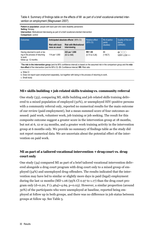Table 4: Summary of findings table on the effects of MI as part of a brief vocational-oriented intervention on employment (Magnussen 2007)

**Patient or population**: people with back pain who were disability pensioners **Setting**: Norway **Intervention**: Motivational interviewing as part of a brief vocational-oriented intervention **Comparison**: control

| <b>Outcomes</b>                                                                                                                                                                                                                       | Anticipated absolute effects' (95% CI) |                                               | <b>Relative effect</b>                      | $Ne$ of partici-   | Quality of the evi-                    |
|---------------------------------------------------------------------------------------------------------------------------------------------------------------------------------------------------------------------------------------|----------------------------------------|-----------------------------------------------|---------------------------------------------|--------------------|----------------------------------------|
|                                                                                                                                                                                                                                       | Risk with busi-<br>ness as usual       | <b>Risk with Motivational</b><br>interviewing | $(95% \text{ Cl})$                          | pants<br>(studies) | dence<br>(GRADE)                       |
| Having returned to work or be-<br>ing in the process of returning<br>to work<br>follow up: 12 months                                                                                                                                  | 114 per 1,000                          | 222 per 1,000<br>(83 to 598)                  | <b>RR 1.95</b><br>$(0.73 \text{ to } 5.26)$ | 89<br>(1 RCT)      | $\bigoplus$ $(X, X)$<br>VERY LOW a,b,c |
| *The risk in the intervention group (and its 95% confidence interval) is based on the assumed risk in the comparison group and the rela-<br>tive effect of the intervention (and its 95% CI). CI: Confidence interval; RR: Risk ratio |                                        |                                               |                                             |                    |                                        |

a. Wide CI

b. Does not report open employment separately, but together with being in the process of returning to work.

c. Small study

#### **MI+ skills building + job related skills training vs. community referral**

One study (33), comparing MI, skills building and job related skills training delivered to a mixed population of employed (32%), or unemployed HIV-positive persons with a community referral only, reported no numerical results for the main outcome of our review (paid employment), but a mean summed score of four outcomes assessed: paid work, volunteer work, job training or job seeking. The result for this composite outcome suggest a greater score in the intervention group at 18 months, but not at 6, 12 or 24 months, and a greater work training activity in the intervention group at 6 months only. We provide no summary of findings table as the study did not report numerical data. We are uncertain about the potential effect of the intervention on paid work.

#### **MI as part of a tailored vocational intervention + drug court vs. drug court only**

One study (34) compared MI as part of a brief tailored vocational intervention delivered alongside a drug court program with drug court only to a mixed group of employed (54%) and unemployed drug-offenders. The results indicated that the intervention may have led to similar or slightly more days in paid (legal) employment during the last 12 months (MD 1.06 (95% CI 0.97 to 1.17) than the drug court program only  $(d=0.20, F(1.464)=4.69, p=0.03)$ . However, a similar proportion (around 30%) of the participants who were unemployed at baseline, reported being employed at follow up in both groups, and there was no difference in job status between groups at follow up. See Table 5.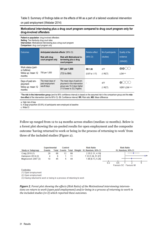Table 5: Summary of findings table on the effects of MI as a part of a tailored vocational intervention on paid employment (Webster 2014)

#### **Motivational interviewing plus a drug court program compared to drug court program only for drug-involved offenders**

**Patient or population**: drug-involved offenders **Setting**: Two Kentucky drug court sites **Intervention**: Motivational interviewing plus a drug court program **Comparison**: drug court program only

| Outcomes                                                           | Anticipated absolute effects' (95% CI)<br><b>Risk with Motivational in-</b><br>Risk with drug<br>court program only<br>terviewing plus a drug<br>court program |                                                                                                                        | <b>Relative effect</b><br>(95% CI)          | $N2$ of participants<br>(studies) | Quality of the<br>evidence<br>(GRADE) |
|--------------------------------------------------------------------|----------------------------------------------------------------------------------------------------------------------------------------------------------------|------------------------------------------------------------------------------------------------------------------------|---------------------------------------------|-----------------------------------|---------------------------------------|
| Work status (part-<br>or fulltime)<br>follow up: mean 12<br>months | 755 per 1,000                                                                                                                                                  | 801 per 1,000<br>(733 to 884)                                                                                          | <b>RR 1.06</b><br>$(0.97 \text{ to } 1.17)$ | 477<br>(1 RCT)                    | LOW a,b                               |
| Days of paid em-<br>ployment<br>follow up: mean 12<br>months       | The mean days of<br>paid employment<br>was 0 days                                                                                                              | The mean days of paid em-<br>ployment in the intervention<br>group was 10.2 days higher<br>(11.8 lower to 32.2 higher) |                                             | 477<br>(1 RCT)                    | VERY LOW a,b,c                        |

\***The risk in the intervention group** (and its 95% confidence interval) is based on the assumed risk in the comparison group and the **relative effect** of the intervention (and its 95% CI). **CI:** Confidence interval; **RR:** Risk ratio; **MD:** Mean difference

a. High risk of bias

b. A large proportion (53.6%) of participants were employed at baseline

c. Wide CI

Follow up ranged from 12 to 24 months across studies (median 12 months). Below is a forest plot showing the un-pooled results for open employment and the composite outcome 'having returned to work or being in the process of returning to work' from three of the included studies (Figure 2).



Footnotes

(1) Open employment

(2) Open employment

(3) Having returned to work or being in a process of returning to work

*Figure 2. Forest plot showing the effects (Risk Ratio) of the Motivational interviewing interven‐ tions on return to work (open paid employment) and/or being in a process of returning to work in the included studies (n=3) which reported these outcomes.*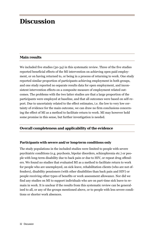# **Discussion**

#### **Main results**

We included five studies (30-34) in this systematic review. Three of the five studies reported beneficial effects of the MI intervention on achieving open paid employment, or on having returned to, or being in a process of returning to work. One study reported similar proportion of participants achieving employment in both groups, and one study reported no separate results data for open employment, and inconsistent intervention effects on a composite measure of employment related outcomes. The problems with the two latter studies are that a large proportion of the participants were employed at baseline, and that all outcomes were based on self-report. Due to uncertainty related to the effect estimates, i.e. the low to very low certainty of evidence for the main outcome, we can draw no firm conclusions concerning the effect of MI as a method to facilitate return to work. MI may however hold some promise in this sense, but further investigation is needed.

#### **Overall completeness and applicability of the evidence**

#### **Participants with severe and/or long-term conditions only**

The study populations in the included studies were limited to people with severe psychiatric conditions (e.g. psychosis, bipolar disorders, schizophrenia etc.) or people with long-term disability due to back pain or due to HIV, or repeat drug offenders. We found no studies that evaluated MI as a method to facilitate return to work for people who are unemployed, on sick-leave, rehabilitation clients (who are not offenders), disability pensioners (with other disabilities than back pain and HIV) or people receiving other types of benefits or work assessment allowance. Nor did we find any studies on MI to support individuals who are on part-time sick leave to remain in work. It is unclear if the results from this systematic review can be generalised to all, or any of the groups mentioned above, or to people with less severe conditions or shorter work absences.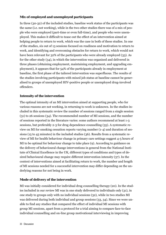#### **Mix of employed and unemployed participants**

In three (30-32) of the included studies, baseline work status of the participants was the same (i.e. not working), while in the two other studies there was of a mix of people who were employed (part-time or even full-time), and people who were unemployed. This makes it difficult to tease out the effect of an intervention aimed at helping people to return to work, which was the case in both of these studies. In one of the studies, six out of 13 sessions focused on readiness and motivation to return to work, and identifying and overcoming obstacles for return to work, which would not have been relevant for 32% of the participants who were already employed (33). As for the other study (34), in which the intervention was organised and delivered in three phases (obtaining employment, maintaining employment, and upgrading employment), it appears that for 54% of the participants already in employment at baseline, the first phase of the tailored intervention was superfluous. The results of the studies involving participants with mixed job status at baseline cannot be generalised to groups of unemployed HIV-positive people or unemployed drug-involved offenders.

#### **Intensity of the intervention**

The optimal intensity of an MI intervention aimed at supporting people, who for various reasons are not working, in returning to work is unknown. In the studies included in this systematic review the number of sessions ranged from a single session (31) to 26 sessions (34). The recommended number of MI sessions, and the number of sessions reported in the literature varies: some authors recommend at least 1-3 sessions, but preferably 2-3 for drug dependence counselling (35). A systematic review on MI for smoking cessation reports varying number (1-4) and duration of sessions (15 to 45 minutes) in the included studies (36). Results from a systematic review of MI for health behaviour change in primary care settings suggest 4-5 hours of MI to be optimal for behaviour change to take place (9). According to guidance on the delivery of behavioural change interventions in general from the National Institute of Clinical Excellence in the UK, different types of conditions and types of desired behavioural change may require different intervention intensity (37). In the context of interventions aimed at facilitating return to work, the number and length of MI sessions needed for a successful intervention may differ depending on the underlying reasons for not being in work.

#### **Mode of delivery of the intervention**

MI was initially considered for individual drug counselling therapy (20). In the studies included in our review MI was in one study delivered to individuals only (31), in one study to groups only with no individual sessions (32), while in two studies MI was delivered during both individual and group sessions (33, 34). Since we were unable to find any studies that compared the effect of individual MI sessions with group MI sessions, apart from a protocol for a trial aiming to compare face-to-face individual counselling and on-line group motivational interviewing in improving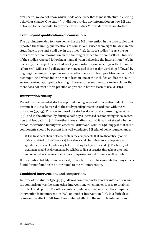oral health, we do not know which mode of delivery that is most effective in eliciting behaviour change. One study (30) did not provide any information on how MI was delivered to the patients. In the other four studies MI was delivered face-to-face.

#### **Training and qualifications of counsellors**

The training provided to those delivering the MI intervention in the two studies that reported the training/qualifications of counsellors, varied from eight full days in one study (30) to one and a half day in the other (31). In three studies (32-34) the authors provided no information on the training provided to the counsellors. Only one of the studies reported following a manual when delivering the intervention (33). In one study, the project leader had weekly supportive phone meetings with the counsellors (31). Miller and colleagues have suggested that a 2-day workshop followed by ongoing coaching and supervision, is an effective way to train practitioners in the MI technique (38), which indicate that at least in one of the included studies the counsellors received appropriate training. However, a recent literature review claims that there does not exist a 'best practice' at present in how to learn to use MI (39).

#### **Intervention fidelity**

Two of the five included studies reported having assessed intervention fidelity to determine if MI was delivered to the study participants in accordance with the MI principles (31, 33). This was in one of the studies done for all counselling sessions (33), and in the other study during a half-day supervised session using video-recordings and feedback (31). In the other three studies (30, 32) it was not stated whether or not intervention fidelity was assessed. Miller and Rollnick (40) suggest that three components should be present in a well-conducted MI trial of behavioural change:

1) The treatment should clearly contain the components that are theoretically or empirically related to its efficacy; (2) Providers should be trained to an adequate and specified criterion of proficiency before treating trial patients; and (3) The fidelity of treatment should be documented by reliable coding of practice throughout the study and reported in a manner that permits comparison with skill levels in other trials.

If intervention fidelity is not assessed, it may be difficult to know whether any effects found (or not found) can be attributed to the MI intervention.

#### **Combined interventions and comparisons**

In three of the studies (30, 31, 34) MI was combined with another intervention and the comparison was the same other intervention, which makes it easy to establish the effect of MI per se. For other combined interventions, in which the comparison intervention is no intervention (32), or another intervention (33), it is difficult to tease out the effect of MI from the combined effect of the multiple interventions.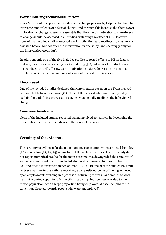#### **Work hindering (behavioural) factors**

Since MI is used to support and facilitate the change process by helping the client to overcome ambivalence or a fear of change, and through this increase the client's own motivation to change, it seems reasonable that the client's motivation and readiness to change should be assessed in all studies evaluating the effect of MI. However, none of the included studies assessed work-motivation, and readiness to change was assessed before, but not after the intervention in one study, and seemingly only for the intervention group (31).

In addition, only one of the five included studies reported effects of MI on factors that may be considered as being work-hindering (31), but none of the studies reported effects on self-efficacy, work-motivation, anxiety, depression or sleeping problems, which all are secondary outcomes of interest for this review.

#### **Theory used**

One of the included studies designed their intervention based on the Transtheoretical model of behaviour change (12). None of the other studies used theory to try to explain the underlying processes of MI, i.e. what actually mediates the behavioural change.

#### **Consumer involvement**

None of the included studies reported having involved consumers in developing the intervention, or in any other stages of the research process.

#### **Certainty of the evidence**

The certainty of evidence for the main outcome (open employment) ranged from low (30) to very low (31, 32, 34) across four of the included studies. The fifth study did not report numerical results for the main outcome. We downgraded the certainty of evidence from two of the four included studies due to overall high risk of bias (31, 34), and due to indirectness in two studies (32, 34). In one of these studies (32) indirectness was due to the authors reporting a composite outcome of 'having achieved open employment' or 'being in a process of returning to work', and 'return to work' was not reported separately. In the other study (34) indirectness was due to the mixed population, with a large proportion being employed at baseline (and the intervention directed towards people who were unemployed).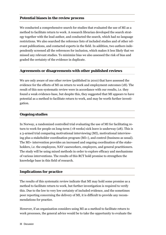#### **Potential biases in the review process**

We conducted a comprehensive search for studies that evaluated the use of MI as a method to facilitate return to work. A research librarian developed the search strategy together with the lead author, and conducted the search, which had no language restrictions. We also searched the reference lists of included studies and of other relevant publications, and contacted experts in the field. In addition, two authors independently screened all the references for inclusion, which makes it less likely that we missed any relevant studies. To minimize bias we also assessed the risk of bias and graded the certainty of the evidence in duplicate.

#### **Agreements or disagreements with other published reviews**

We are only aware of one other review (published in 2010) that have assessed the evidence for the effects of MI on return to work and employment outcomes (18). The result of this non-systematic review were in accordance with our results, i.e. they found a weak evidence-base, but despite this, they suggested that MI appears to have potential as a method to facilitate return to work, and may be worth further investigation.

#### **Ongoing studies**

In Norway, a randomized controlled trial evaluating the use of MI for facilitating return to work for people on long-term (>8 weeks) sick leave is underway (28). This is a 3-armed trial comparing motivational interviewing (MI), motivational interviewing plus a stakeholder coordination program (MI+), and control (business as usual). The MI+ intervention provides an increased and ongoing coordination of the stakeholders, i.e. the employees, NAV caseworkers, employers, and general practitioners. The study will be using mixed methods in order to explore efficacy and mechanisms of various interventions. The results of this RCT hold promise to strengthen the knowledge base in this field of research.

#### **Implications for practice**

The results of this systematic review indicate that MI may hold some promise as a method to facilitate return to work, but further investigation is required to verify this. Due to the low to very low certainty of included evidence, and the sometimes poor reporting concerning the delivery of MI, it is difficult to provide any recommendations for practice.

However, if an organization considers using MI as a method to facilitate return to work processes, the general advice would be to take the opportunity to evaluate the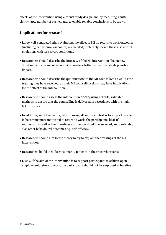effects of the intervention using a robust study design, and by recruiting a sufficiently large number of participants to enable reliable conclusions to be drawn.

#### **Implications for research**

- Large well-conducted trials evaluating the effect of MI on return to work outcomes (including behavioural outcomes) are needed, preferably should these also recruit poulations with less severe conditions.
- Researchers should describe the *intensity* of the MI intervention (frequency, duration, and spacing of sessions), so readers better can appreciate its possible impact.
- Researchers should describe the *qualifications* of the MI counsellors as well as the training they have received, as their MI counselling skills may have implications for the effect of the intervention.
- Researchers should assess the intervention *fidelity* using reliable, validated methods to ensure that the counselling is delivered in accordance with the main MI principles.
- In addition, since the main goal with using MI in this context is to support people in becoming more motivated to return to work, the participants' *level of motivation* as well as their *readiness to change* should be assessed, and preferably also other behavioural outcomes e.g. self-efficacy.
- Researchers should aim to use theory to try to explain the workings of the MI intervention.
- Researcher should include consumers / patients in the research process.
- Lastly, if the aim of the intervention is to support participants to achieve open employment/return to work, the participants should not be employed at baseline.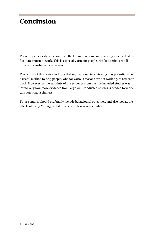# **Conclusion**

There is scarce evidence about the effect of motivational interviewing as a method to facilitate return to work. This is especially true for people with less serious conditions and shorter work absences.

The results of this review indicate that motivational interviewing may potentially be a useful method to help people, who for various reasons are not working, to return to work. However, as the certainty of the evidence from the five included studies was low to very low, more evidence from large well-conducted studies is needed to verify this potential usefulness.

Future studies should preferably include behavioural outcomes, and also look at the effects of using MI targeted at people with less severe conditions.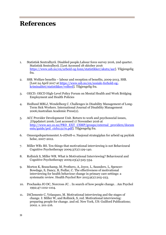# **References**

- 1. Statistisk Sentralbyrå. Disabled people.Labour force survey 2016, 2nd quarter. Statistisk Sentralbyrå. [Lest Accessed 18 oktober 2016 https://www.ssb.no/en/arbeid-og-lonn/statistikker/akutu/aar]. Tilgjengelig fra.
- 2. SSB. Welfare benefits labour and reception of benefits, 2009-2013. SSB. [Lest 24 April 2017 at https://www.ssb.no/en/sosiale-forhold-ogkriminalitet/statistikker/velferd]. Tilgjengelig fra.
- 3. OECD. OECD High-Level Policy Forum on Mental Health and Work Bridging Employment and Health Policies
- 4. Hedlund MBLJ, Wendelborg C. Challenges in Disability Management of Long-Term Sick Workers. International Journal of Disability Management 2006;Australian Academic Press(2).
- 5. ACC Provider Development Unit. Return to work and psychosocial issues, .[Oppdatert 2006; Lest accessed 17 November 2016 at http://www.acc.co.nz/PRD\_EXT\_CSMP/groups/external\_providers/docum ents/guide/prd\_ctrb113170.pdf]. Tilgjengelig fra.
- 6. Omsorgsdepartementet A-oIDoH-o. Nasjonal strategiplan for arbeid og psykisk helse, 2007-2012.
- 7. Miller WR1 RS. Ten things that motivational interviewing is not Behavioural Cognitive Psychotherapy 2009;37(2):129-140.
- 8. Rollnick S, Miller WR. What is Motivational Interviewing? Behavioural and Cognitive Psychotherapy 2009;23(4):325-334.
- 9. Morton K, Beauchamp, M, Prothero, A, Joyce, L, Saunders, L, Spencer-Bowdage, S, Dancy, B, Pedlar, C. The effectiveness of motivational interviewing for health behaviour change in primary care settings: a systematic review. Health Psychol Rev 2015;9(2):205-223.
- 10. Prochaska JO DC, Norcross JC. . In search of how people change. . Am Psychol 1992;47:1102-1104.
- 11. DiClemente C, Velasquez, M. Motivational interviewing and the stages of change. I: Miller W, and Rollnick, S, red. Motivational interviewing: preparing people for change. 2nd ed. New York, US: Guilford Publications; 2002. s. 201-216.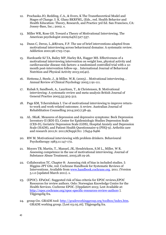- 12. Prochaska JO, Redding, C.A., & Evers, K The Transtheoretical Model and Stages of Change. I: K. Glanz BKRFML, (Eds., red. Health Behavior and Health Education: Theory, Research, and Practice 3rd Ed. San Francisco, CA: Jossey-Bass, Inc.; 2002. s.
- 13. Miller WR, Rose GS. Toward a Theory of Motivational Interviewing. The American psychologist 2009;64(6):527-537.
- 14. Dunn C, Deroo, L.,&Rivara, F.P. The use of brief interventions adapted from motivational interviewing across behavioural domains: A systematic review. Addiction 2001;96:1725-1742.
- 15. Hardcastle SJ TA, Bailey MP, Harley RA, Hagger MS. Effectiveness of a motivational interviewing intervention on weight loss, physical activity and cardiovascular disease risk factors: a randomised controlled trial with a 12 month post-intervention follow-up. . International Journal of Behavioral Nutrition and Physical Activity 2013;10(40).
- 16. Hettema J, Steele, J., & Miller, W.R. (2005). . Motivational interviewing. . Annual Review of Clinical Psychology 2005;1:91-111.
- 17. Rubak S, Sandboek, A., Lauritzen, T., & Christensen, B. Motivational interviewing: A systematic review and meta-analysis British Journal of General Practice 2005;55:305-312.
- 18. Page KM, Tchernitskaia I. Use of motivational interviewing to improve returnto-work and work-related outcomes: A review. Australian Journal of Rehabilitation Counselling 2014;20(1):38-49.
- 19. AL. SKaK. Measures of depression and depressive symptoms: Beck Depression Inventory-II (BDI-II), Center for Epidemiologic Studies Depression Scale (CES-D), Geriatric Depression Scale (GDS), Hospital Anxiety and Depression Scale (HADS), and Patient Health Questionnaire-9 (PHO-9). Arthritis care and research 2011;6: 2011;6(Suppl.S11 ):S454-S466
- 20. RW M. Motivational interviewing with problem drinkers. Behavioural Psychotherapy 1983;11:147-172.
- 21. Moyers TB, Martin, T., Manuel, JK, Hendrickson, S.M L., Miller, W R. Assessing competence in the use of motivational interviewing. Journal of Substance Abuse Treatment, 2005;28:19-26.
- 22. Collaboration TC. Chapter 8: Assessing risk of bias in included studies. I: Higgins JPT GSe, red. Cochrane Handbook for Systematic Reviews of Interventions. Available from www.handbook.cochrane.org. 2011. (Version 5.1.0 [updated March 2011). s.
- 23. (EPOC). EPaOoC. Suggested risk of bias criteria for EPOC reviews,EPOC Resources for review authors. Oslo: Norwegian Knowledge Centre for the Health Services. Cochrene EPOC. [Oppdatert 2015; Lest Available at: http://epoc.cochrane.org/epoc-specific-resources-review-authors ]. Tilgjengelig fra.
- 24. group Gw. GRADE tool: http://gradeworkinggroup.org/toolbox/index.htm. GRADE working group. [Lest 03.05.16]. Tilgjengelig fra.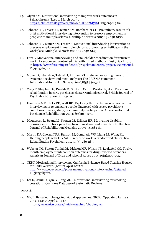- 25. Glynn SM. Motivational interviewing to improve work outcomes in Schizophrenia [Lest 17 March 2017 at https://clinicaltrials.gov/ct2/show/NCT00261716]. Tilgjengelig fra.
- 26. Johnson KL, Fraser RT, Bamer AM, Bombardier CH. Preliminary results of a brief motivational interviewing intervention to preserve employment in people with multiple sclerosis. Multiple Sclerosis 2007;13:S138-S138.
- 27. Johnson KL, Bamer AM, Fraser R. Motivational interviewing intervention to preserve employment in multiple sclerosis: promoting self-efficacy in the workplace. Multiple Sclerosis 2008;14:S142-S143.
- 28. Fors E. Motivational interviewing and stakeholder coordination for return to work: A randomised controlled trial with mixed methods.[Lest 7 April 2017 at https://www.forskningsradet.no/prosjektbanken/#!/project/256633/no]. Tilgjengelig fra.
- 29. Moher D, Liberati A, Tetzlaff J, Altman DG. Preferred reporting items for systematic reviews and meta-analyses: The PRISMA statement. International Journal of Surgery 2010;8(5):336-341.
- 30. Craig T, Shepherd G, Rinaldi M, Smith J, Carr S, Preston F, et al. Vocational rehabilitation in early psychosis: cluster randomised trial. British Journal of Psychiatry 2014;205(2):145-150.
- 31. Hampson ME, Hicks RE, Watt BD. Exploring the effectiveness of motivational interviewing in re-engaging people diagnosed with severe psychiatric conditions in work, study, or community participation. American Journal of Psychiatric Rehabilitation 2015;18(3):265-279.
- 32. Magnussen L, Strand LI, Skouen JS, Eriksen HR. Motivating disability pensioners with back pain to return to work--a randomized controlled trial. Journal of Rehabilitation Medicine 2007;39(1):81-87.
- 33. Martin DJ, Chernoff RA, Buitron M, Comulada WS, Liang LJ, Wong FL. Helping people with HIV/AIDS return to work: a randomized clinical trial. Rehabilitation Psychology 2012;57(4):280-289.
- 34. Webster JM, Staton-Tindall M, Dickson MF, Wilson JF, Leukefeld CG. Twelvemonth employment intervention outcomes for drug-involved offenders. American Journal of Drug and Alcohol Abuse 2014;40(3):200-205.
- 35. CEBC. Motivational Interviewing. California Evidence-Based Clearing Housed for Child Welfare. [Lest 21 April 2017 at http://www.cebc4cw.org/program/motivational-interviewing/detailed ]. Tilgjengelig fra.
- 36. Lai D, Cahill, K, Qin, Y, Tang, JL. . Motivational interviewing for smoking cessation. . Cochrane Database of Systematic Reviews

 $2010(1)$ .

37. NICE. Behaviour change:individual approaches. NICE. [Oppdatert January 2014; Lest 21 April 2017 at https://www.nice.org.uk/guidance/ph49/chapter/1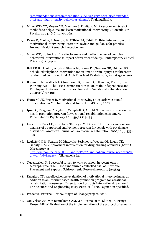recommendations#recommendation-9-deliver-very-brief-brief-extendedbrief-and-high-intensity-behaviour-change]. Tilgjengelig fra.

- 38. Miller WR1 YC, Moyers TB, Martinez J, Pirritano M. A randomized trial of methods to help clinicians learn motivational interviewing. J Consult Clin Psychol 2004;76(6):1050-1062.
- 39. Evans D, Martin, L, Neeson, B, O'Brien M, Cahill, D. Brief interventions and motivational interviewing.Literature review and guidance for practice. Ireland: Health Research Executive; 2011.
- 40. Miller WR, Rollnick S. The effectiveness and ineffectiveness of complex behavioral interventions: Impact of treatment fidelity. Contemporary Clinical Trials;37(2):234-241.
- 41. Bell KR BJ, Hart T, Whyte J, Sherer M, Fraser RT, Temkin NR, Dikmen SS. Scheduled telephone intervention for traumatic brain injury: a multicenter randomized controlled trial. Arch Phys Med Reahab 2011;92(10):1552-1560.
- 42. Bohman TM, Wallisch L, Christensen K, Stoner D, Pittman A, Reed B, et al. Working Well - The Texas Demonstration to Maintain Independence and Employment: 18-month outcomes. Journal of Vocational Rehabilitation 2011;34(2):97-106.
- 43. Hunter C JK, Fraser R. Motivational inteviewing as an early vocational intervention in MS. International Journal of MS care; 2007.
- 44. Ipsen C, Ruggiero C, Rigles B, Campbell D, Arnold N. Evaluation of an online health promotion program for vocational rehabilitation consumers. Rehabilitation Psychology 2014;59(2):125-135.
- 45. Larson JE, Barr LK, Kuwabara SA, Boyle MG, Glenn TL. Process and outcome analysis of a supported employment program for people with psychiatric disabilities. American Journal of Psychiatric Rehabilitation 2007;10(4):339- 353.
- 46. Leukefeld C M, Straton M, Mateyoke-Scrivner A, Webster M, Logan TK, Garrity T. An employment intervention for drug-abusing offenders.[Lest 17 March 2017 at http://heinonline.org/HOL/LandingPage?handle=hein.journals/fedpro67& div=25&id=&page=]. Tilgjengelig fra.
- 47. Nuechterlein K. Successful return to work or school in recent-onset schizophrenia: The UCLA randomized controlled trial of Individual Placement and Support. Schizophrenia Research 2010;117 (2-3):133.
- 48. Ruggiero CN. An effectiveness evaluation of motivational interviewing as an addition to an Internet-based health promotion program for vocational rehabilitation consumers. Dissertation Abstracts International: Section B: The Sciences and Engineering 2013;73(12-B(E)):No Pagination Specified.
- 49. Proactive. External Review. Stages of Change project. 2010.
- 50. van Velzen JM, van Bennekom CAM, van Dormolen M, Sluiter JK, Frings-Dresen MHW. Evaluation of the implementation of the protocol of an early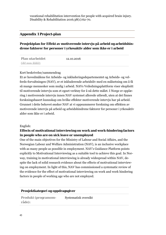#### **Appendix 1 Project-plan**

#### **Prosjektplan for Effekt av motiverende intervju på arbeid og arbeidshindrene faktorer for personer i yrkesaktiv alder som ikke er i arbeid**

| <b>Plan utarbeidet</b> | 12.10.2016 |
|------------------------|------------|
| $(dd.mm.\aa\aa\aa).$   |            |

#### Kort beskrivelse/sammendrag

Et av hovedmålene for Arbeids- og inkluderingsdepartementet og Arbeids- og velferds-forvaltningen (NAV), er et inkluderende arbeidsliv med en målsetning om å få så mange mennesker som mulig i arbeid. NAVs Veiledningsplattform viser eksplisitt til motiverende intervju som et egnet verktøy for å nå dette målet. I Norge er opplæring i motiverende intervju innen NAV systemet allerede utbredt, uten at det finnes forskningsbasert kunnskap om hvilke effekter motiverende intervju har på arbeid. Grunnet i dette behovet ønsker NAV at vi oppsummerer forskning om effekten av motiverende intervju på arbeid og arbeidshindrene faktorer for personer i yrkesaktiv alder som ikke er i arbeid.

#### English:

#### **Effects of motivational interviewing on work and work-hindering factors in people who are on sick leave or unemployed**

One of the main objectives for the Ministry of Labour and Social Affairs, and the Norwegian Labour and Welfare Administration (NAV), is an inclusive workplace with as many people as possible in employment. NAV's Guidance Platform points explicitly to Motivational Interviewing as a suitable tool to achieve this goal. In Norway, training in motivational interviewing is already widespread within NAV, despite the lack of solid research evidence about the effects of motivational interviewing on employment. In light of this, NAV has commissioned a systematic review of the evidence for the effect of motivational interviewing on work and work hindering factors in people of working age who are not employed.

#### **Prosjektkategori og oppdragsgiver**

| <b>Produkt (programom-</b> | Systematisk oversikt |
|----------------------------|----------------------|
| råde):                     |                      |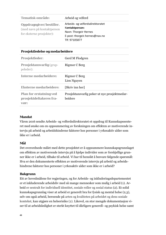| <b>Tematisk område:</b>                                                             | Arbeid og velferd                                                                                                              |
|-------------------------------------------------------------------------------------|--------------------------------------------------------------------------------------------------------------------------------|
| Oppdragsgiver/bestiller.<br>(med navn på kontaktperson<br>for eksterne prosjekter): | Arbeids- og velferdsdirektoratet<br>Kontaktperson:<br>Navn: Thorgeir Hernes<br>E-post: thorgeir.hernes@nav.no<br>Tlf: 97105877 |

| Prosjektledelse og medarbeidere                                    |                                                          |  |
|--------------------------------------------------------------------|----------------------------------------------------------|--|
| <b>Prosjektleder:</b>                                              | Gerd M Flodgren                                          |  |
| <b>Prosjektansvarlig (grup-</b><br>peleder):                       | Rigmor C Berg                                            |  |
| <b>Interne medarbeidere:</b>                                       | Rigmor C Berg<br>Lien Nguyen                             |  |
| <b>Eksterne medarbeidere:</b>                                      | [Skriv inn her]                                          |  |
| <b>Plan for erstatning ved</b><br>prosjektdeltakeres fra-<br>vaer: | Prosjektansvarlig peker ut nye prosjektmedar-<br>beidere |  |

#### **Mandat**

Våren 2016 sendte Arbeids- og velferdsdirektoratet et oppdrag til Kunnskapssenteret med ønske om en oppsummering av forskningen om effekten av motiverende intervju på arbeid og arbeidshindrene faktorer hos personer i yrkesaktiv alder som ikke er i arbeid.

#### **Mål**

Det overordnede målet med dette prosjektet er å oppsummere kunnskapsgrunnlaget om effekten av motiverende intervju på å hjelpe individer som av forskjellige grunner ikke er i arbeid, tilbake til arbeid. Vi har til hensikt å besvare følgende spørsmål: Hva er den dokumenterte effekten av motiverende intervju på arbeid og arbeidshindrene faktorer hos personer i yrkesaktiv alder som ikke er i arbeid?

#### **Bakgrunn**

Ett av hovedmålene for regjeringen, og for Arbeids- og inkluderingsdepartementet er et inkluderende arbeidsliv med så mange mennesker som mulig i arbeid (1). Arbeid er sentralt for individuell identitet, sosiale roller og sosial status (2). Et solid kunnskapsgrunnlag viser at arbeid er generelt bra for fysisk og mental helse (2,3), selv om også arbeid, beroende på arten og kvaliteten på arbeidet og dens sosiale kontekst, kan utgjøre en helserisiko (2). Likevel, en stor mengde dokumentasjon viser til at arbeidsledighet er sterkt knyttet til dårligere generell- og psykisk helse samt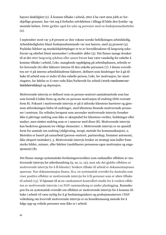høyere dødelighet (2). Å komme tilbake i arbeid, etter å ha vært uten jobb av forskjellige grunner, har vist seg å forbedre selvfølelsen i tillegg til både den fysiske- og mentale helsen. Dette gjelder også for syke og personer med en funksjonsnedsettelse (2).

I september 2016 var 3.8 prosent av den voksne norske befolkningen arbeidsledig. Arbeidsledigheten blant funksjonshemmede var noe høyere, med 25 prosent (4). Psykiske lidelser og muskelskjelettplager er to av hovedårsakene til langvarig sykefravær og uførhet blant mennesker i yrkesaktiv alder (5). Det finnes mange årsaker til at det etter langvarig sykdom eller annet fravær kan være vanskelig for enkelte å komme tilbake i arbeid, f.eks. manglende oppfølging på arbeidsplassen, arbeide er for krevende (6) eller faktorer interne til den enkelte personen (7). I denne oversikten ser vi på interne arbeidshindrene faktorer, definert som hindringer for å gå tilbake til arbeid som er indre til den enkelte person, f.eks. lav motivasjon, lav mestringstro, lav følelse av å være rede/klar/forberedt for arbeid (*work readiness=arbeidsberedskap)* og depresjon.

Motiverende intervju er definert som en person-sentrert samtalemetode som har som formål å lokke frem og styrke en persons motivasjon til endring (fritt oversatt frem 8). Fokuset i motiverende intervju er på å utforske klientens barrierer og gjennom utforskningen bidra til endringer, med klientens iboende motiverende prosesser i sentrum. En veileder/terapeut som anvender motiverende intervju forsøker ikke å påtvinge endring som ikke er akseptabel for klientens verdier, holdninger eller ønsker, men støtter endring som er i samsvar med disse (8). Motiverende intervju kan beskrives gjennom tre viktige elementer: 1. Motiverende intervju er en spesiell form for samtale om endring (rådgivning, terapi, metode for kommunikasjon), 2. Metoden er basert på samarbeid (person-sentrert, partnerskap, fremmer autonomi, ikke ekspert-mottaker), 3. Motiverende intervju bruker en strategi som kaller fram sterke bilder, minner, eller følelser (mobiliserer personens egen motivasjon og engasjement) (8).

Det finnes mange systematiske forskningsoversikter som omhandler effekten av motiverende intervju for atferdsendring (9, 10, 11, 12), men når det gjelder effekten av motiverende intervju for å få klienter/ brukere tilbake til arbeid er dokumentasjonen sparsom. Noe dokumentasjon finnes, bl.a. en systematisk oversikt fra Australia som viser positive effekter av motiverende intervju for å få personer som er uføre tilbake til arbeid (13). Vi kjenner til at en randomisert kontrollert studie for å vurdere effekten av motiverende intervju i en NAV-sammenheng er under planlegging. Kunnskapen fra en systematisk oversikt om effekten av motiverende intervju for å komme tilbake i arbeid vil være nyttig for å gi beslutningstakere og profesjonsutøvere i NAV veiledning om hvorvidt motiverende intervju er en hensiktsmessig metode for å følge opp og veilede personer som ikke er i arbeid.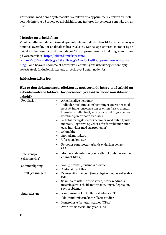Vårt formål med denne systematiske oversikten er å oppsummere effekten av motiverende intervju på arbeid og arbeidshindrene faktorer for personer som ikke er i arbeid.

#### **Metoder og arbeidsform**

Vi vil benytte metodene i Kunnskapssenterets metodehåndbok til å utarbeide en systematisk oversikt. For en detaljert beskrivelse av Kunnskapssenterets metoder og arbeidsform henviser vi til vår metodebok 'Slik oppsummerer vi forskning' som finnes på våre nettsider: http://kilden.kunnskapssente-

ret.no/h%C3%A5ndb%C3%B8ker/h%C3%A5ndbok-slik-oppsummerer-vi-forskning. For å besvare spørsmålet har vi utviklet inklusjonskriterier og en foreløpig søkestrategi. Inklusjonskriteriene er beskrevet i detalj nedenfor.

#### **Inklusjonskriterier:**

#### **Hva er den dokumenterte effekten av motiverende intervju på arbeid og arbeidshindrene faktorer for personer i yrkesaktiv alder som ikke er i arbeid?**

| Populasjon                    | Arbeidsledige personer<br>Individer med funksjonshemninger (personer med<br>$\bullet$<br>nedsatt funksjonsevne som er enten fysisk, mental,<br>kognitiv, intellektuell, sensorisk, utviklings eller en<br>kombinasjon av noen av disse)<br>Rehabiliteringsklienter (personer med enten fysiske,<br>$\bullet$<br>mentale, kognitive og /eller atferdsproblemer, men<br>også individer med rusproblemer)<br>Sykmeldte<br>Stønadsmottakere<br>Uførepensjonister<br>Personer som mottar arbeidsavklaringspenger<br>(AAP) |
|-------------------------------|----------------------------------------------------------------------------------------------------------------------------------------------------------------------------------------------------------------------------------------------------------------------------------------------------------------------------------------------------------------------------------------------------------------------------------------------------------------------------------------------------------------------|
| Intervension<br>(eksponering) | Motiverende intervju (alene eller i kombinasjon med<br>$\bullet$<br>et annet tiltak)                                                                                                                                                                                                                                                                                                                                                                                                                                 |
| Sammenligning                 | Vanlig praksis /'business as usual'<br>$\bullet$<br>Andre aktive tiltak<br>$\bullet$                                                                                                                                                                                                                                                                                                                                                                                                                                 |
| Utfall (virkninger)           | Primærutfall: Arbeid (inntektsgivende, hel- eller del-<br>$\bullet$<br>tid)<br>Sekundære utfall: arbeidsevne, 'work readiness',<br>$\bullet$<br>mestringstro, arbeidsmotivasjon, angst, depresjon,<br>søvnproblemer                                                                                                                                                                                                                                                                                                  |
| Studiedesign                  | Randomiserte kontrollerte studier (RCT)<br>٠<br>Ikke-randomiserte kontrollerte studier<br>$\bullet$<br>Kontrollerte før- etter studier (CBAs)<br>$\bullet$<br>Avbrutte tidsserie-analyser (ITS)                                                                                                                                                                                                                                                                                                                      |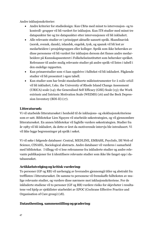Andre inklusjonskriterier:

- Andre kriterier for studiedesign: Kun CBAs med minst to intervensjon- og to kontroll- grupper vil bli vurdert for inklusjon. Kun ITS studier med minst tre datapunkter før og tre datapunkter etter intervensjonen vil bli inkludert.
- Alle relevante studier er i prinsippet aktuelle uansett språk. Skandinavisk (norsk, svensk, dansk), islandsk, engelsk, tysk, og spansk vil bli lest av medarbeidere i prosjektgruppen eller kolleger. Språk som ikke beherskes av disse personene vil bli vurdert for inklusjon dersom det finnes andre medarbeidere på Kunnskapssenteret i Folkehelseinstituttet som behersker språket. Referanser til andre mulig relevante studier på andre språk vil listes i tabell i den endelige rapporten.
- Kun primærstudier som vi kan oppdrive i fulltekst vil bli inkludert. Pågående studier vil bli presentert i egen tabell.
- Kun studier som har brukt standardiserte måleinstrumenter for å måle utfall vil bli inkludert, f.eks. the University of Rhode Island Change Assessment (URICA) scale (14); the Generalised Self Efficacy (GSE) Scale (15); the Work extrinsic and Intrinsic Motivation Scale (WEIMS) (16) and the Beck Depression Inventory (BDI-II) (17).

#### **Litteratursøk:**

Vi vil utarbeide litteratursøket i henhold til de inklusjons- og eksklusjonskriteriene som er satt. Bibliotekar Lien Nguyen vil utarbeide søkestrategien, og vil gjennomføre litteratursøket. En annen bibliotekar vil fagfelle vurdere søkestrategien. Studier fra år 1983 vil bli inkludert, da dette er året da motiverende intervju ble introdusert. Vi vil ikke legge begrensninger på språk i søket.

Vi vil søke i følgende databaser: Central, MEDLINE, EMBASE, PsycInfo, ISI Web of Science, CINAHL, Sociological abstracts. Andre databaser vil vurderes i samarbeid med bibliotekar. I tillegg vil vi lese referansene fra inkluderte studier og andre relevante publikasjoner for å identifisere relevante studier som ikke ble fanget opp i databasesøket.

#### **Artikkelutvelging og kritisk vurdering:**

To personer (GF og RB) vil uavhengig av hverandre gjennomgå titler og abstrakt fra trefflisten i litteratursøket. De samme to personene vil fremskaffe fullteksten av mulige relevante studier, og vurdere disse nærmere mot inklusjonskriteriene. For de inkluderte studiene vil to personer (GF og RB) vurdere risiko for skjevheter i resultatene ved hjelp av sjekklister utarbeidet av EPOC (Cochrane Effective Practice and Organisation of Care group) (18).

#### **Datauthenting, sammenstilling og gradering**: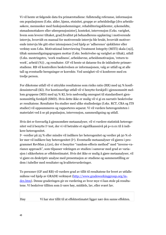Vi vil hente ut følgende data fra primærstudiene: fullstendig referanse, informasjon om populasjonen (f.eks. alder, kjønn, etnisitet, gruppe av arbeidsledige [dvs arbeidssøkere, mennesker med funksjonshemninger, rehabiliteringsklienter, sykemeldte, stønadsmottakere eller uførepensjonister], kontekst, intervensjon (f.eks. varighet, hvem som leverer tiltaket, grad/kvalitet på behandlerens opplæring i motiverende intervju, hvorvidt en manual for motiverende intervju ble brukt, hvorvidt motiverende intervju ble gitt etter intensjonen [ved hjelp av 'adherence' sjekklister eller verktøy som f.eks. Motivational Interviewing Treatment Integrity (MITI) skala (19)], tiltak sammenligningsgruppen mottar (f.eks. beskrivelse og varighet av tiltak), utfall (f.eks. mestringstro, 'work readiness', arbeidsevne, arbeidsmotivasjon, 'return to work', arbeid (%)) , og resultater. GF vil hente ut dataene fra de inkluderte primærstudiene. RB vil kontrollere beskrivelsen av informasjonen, valg av utfall og at alle tall og eventuelle beregninger er korrekte. Ved uenighet vil vi konferere med en tredje person.

For dikotome utfall vil vi uttrykke resultatene som risiko ratio (RR) med 95 % konfidensintervall (KI). For kontinuerlige utfall vil vi benytte forskjell i gjennomsnitt mellom gruppene (MD) med 95 % KI, hvis nødvendig omregnet til standardisert gjennomsnittlig forskjell (SMD). Hvis dette ikke er mulig vil vi gi en narrativ beskrivelse av resultatene. Resultater fra studier med ulike studiedesign (f.eks. RCT, CBA og ITS studier) vil oppsummeres og rapporteres separat. Vi vil vurdere heterogeniteten i materialet ved å se på populasjon, intervensjon, sammenligning og utfall.

Hvis det er forsvarlig å gjennomføre metaanalyser, vil vi vurdere statistisk heterogenitet ved å benytte I<sup>2</sup> test, der vi vil betrakte et signifikansnivå på p<0.01 til å indikere heterogenitet.

I2 -verdier på 25 % eller mindre vil indikere lav heterogenitet og verdier på 50 % eller mer vil indikere høy heterogenitet (I2). Eventuelle metaanalyser vil gjøres i programmet RevMan 5 (20), der vi benytter "random-effects method" med "inverse-variance approach", som tilpasser vektingen av studien i samsvar med grad av variasjon i sikkerheten av effektestimatet. Hvis det ikke er mulig å gjøre metaanalyser, vil vi gjøre en deskriptiv analyse med presentasjon av studiene og sammenstilling av dem i tabeller med resultater og kvalitetsvurderinger.

To personer (GF and RB) vil vurdere grad av tillit til resultatene for hvert av utfallsmålene ved hjelp av GRADE verktøyet (http://www.gradeworkinggroup.org/index.htm). Denne graderingen gir en vurdering av hvor mye vi kan stole på resultatene. Vi beskriver tilliten som å være høy, middels, lav, eller svært lav.

Høy Vi har stor tillit til at effektestimatet ligger nær den sanne effekten.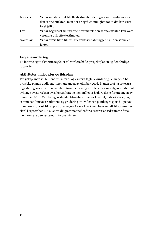| Middels   | Vi har middels tillit til effektestimatet: det ligger sannsynligvis nær   |
|-----------|---------------------------------------------------------------------------|
|           | den sanne effekten, men der er også en mulighet for at det kan være       |
|           | forskjellig.                                                              |
| Lav       | Vi har begrenset tillit til effektestimatet: den sanne effekten kan være  |
|           | vesentlig ulik effektestimatet.                                           |
| Svært lav | Vi har svært liten tillit til at effektestimatet ligger nær den sanne ef- |
|           | fekten.                                                                   |

#### **Fagfellevurdering:**

To interne og to eksterne fagfeller vil vurdere både prosjektplanen og den ferdige rapporten.

#### **Aktiviteter, milepæler og tidsplan**

Prosjektplanen vil bli sendt til intern- og ekstern fagfellevurdering. Vi håper å ha prosjekt-planen godkjent innen utgangen av oktober 2016. Planen er å ha søkestrategi klar og søk utført i november 2016. Screening av referanser og valg av studier vil avhenge av størrelsen av søkeresultatene men målet er å gjøre dette før utgangen av desember 2016. Vurdering av de identifiserte studienes kvalitet, data ekstraksjon, sammenstilling av resultatene og gradering av evidensen planlegges gjort i løpet av mars 2017. Utkast til rapport planlegges å være klar (med hensyn tatt til sommerferien) i september 2017. Gantt diagrammet nedenfor skisserer en tidsramme for å gjennomføre den systematiske oversikten.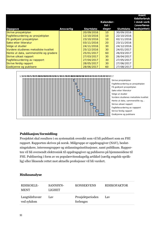| Oppgave                                | Ansvarlig | <b>Startdato</b> | Kalender-<br>tid i<br>dager | <b>Sluttdato</b> | <b>Reelt</b><br>tidsforbruk<br>i mnd-verk<br>(overføres<br>budsjettet) |
|----------------------------------------|-----------|------------------|-----------------------------|------------------|------------------------------------------------------------------------|
| Skrive prosjektplan                    |           | 20/09/2016       | 10 <sup>°</sup>             | 30/09/2016       |                                                                        |
| Fagfellevurdering av prosjektplan      |           | 12/10/2016       | 10 <sup>°</sup>             | 22/10/2016       |                                                                        |
| Få godkjent prosjektplan               |           | 23/10/2016       | 10 <sup>°</sup>             | 02/11/2016       |                                                                        |
| Søke etter litteratur                  |           | 03/11/2016       | 20                          | 23/11/2016       |                                                                        |
| Velge ut studier                       |           | 24/11/2016       | 30                          | 24/12/2016       |                                                                        |
| Vurdere studienes metodiske kvalitet   |           | 25/12/2016       | 30                          | 24/01/2017       |                                                                        |
| Hente ut data, sammenstille og gradere |           | 25/01/2017       | 60                          | 26/03/2017       |                                                                        |
| Skrive utkast rapport                  |           | 27/03/2017       | 30                          | 26/04/2017       |                                                                        |
| Fagfellevurdering av rappport          |           | 27/04/2017       | 30                          | 27/05/2017       |                                                                        |
| Skrive ferdig rapport                  |           | 28/05/2017       | 30                          | 27/06/2017       |                                                                        |
| Godkjenne og publisere                 |           | 28/06/2017       | 60                          | 27/08/2017       |                                                                        |



#### **Publikasjon/formidling**

Prosjektet skal resultere i en systematisk oversikt som vil bli publisert som en FHI rapport. Rapporten skrives på norsk. Målgruppe er oppdragsgiver (NAV), beslutningstakere, interessegrupper og utdanningsinstitusjoner, samt publikum. Rapporten vil bli oversendt elektronisk til oppdragsgiver og publiseres på hjemmesidene til FHI. Publisering i form av en populærvitenskapelig artikkel (særlig engelsk-språklig) eller liknende rettet mot aktuelle profesjoner vil bli vurdert.

#### **Risikoanalyse**

| RISIKOELE-<br><b>MENT</b>    | SANNSYN-<br>LIGHET | <b>KONSEKVENS</b>             | <b>RISIKOFAKTOR</b> |
|------------------------------|--------------------|-------------------------------|---------------------|
| Langtidsfravær<br>ved sykdom | Lav                | Prosjektperioden<br>forlenges | Lav                 |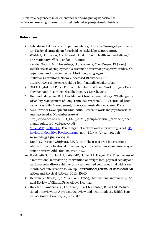Tiltak for å begrense risikoelementenes sannsynlighet og konsekvens:

Prosjektansvarlig utpeker ny prosjektleder eller prosjektmedarbeidere

#### **Referanser**

- 1. Arbeids- og Inkluderings Departementet og Helse- og Omsorgsdepartementet. Nasjonal strategiplan for arbeid og psykisk helse,2007-2012.
- 2. Waddell, G.; Burton, A.K. Is Work Good for Your Health and Well-Being? The Stationary Office: London, UK, 2006.
- 3. van der Noordt, M., IJzelenberg, H., Droomers, M og Proper, KI (2014). Health effects of employment: a systematic review of prospective studies. *Occupational and Environmental Medicine*, 71: 730-736.
- 4. Statistisk Centralbyrå, Norway. Accessed 18 oktober 2016 https://www.ssb.no/en/arbeid-og-lonn/statistikker/akutu/aar
- 5. OECD High-Level Policy Forum on Mental Health and Work Bridging Employment and Health Policies The Hague, 4 March, 2015
- 6. Hedlund, Marianne, B. J. Landstad og Christian Wendelborg: "Challenges in Disability Management of Long-Term Sick Workers". I *International Journal of Disability Management*, nr 2-2008. Australian Academic Press
- 7. ACC Provider Development Unit, 2006. Return to work and psychosocial issues, accessed 17 November 2016 at http://www.acc.co.nz/PRD\_EXT\_CSMP/groups/external\_providers/documents/guide/prd\_ctrb113170.pdf
- 8. Miller WR1, Rollnick S. Ten things that motivational interviewing is not. *Behavioural Cognitive Psychotherapy.* 2009 Mar; 37(2):129-40. doi: 10.1017/S1352465809005128.
- 9. Dunn, C., Deroo, L.,&Rivara, F.P. (2001). The use of brief interventions adapted from motivational interviewing across behavioural domains: A systematic review. *Addiction*, *96*, 1725–1742
- 10. Hardcastle SJ, TaylorAH, BaileyMP, Harley RA, Hagger MS. Effectiveness of a motivational interviewing intervention on weight loss, physical activity and cardiovascular disease risk factors: a randomised controlled trial with a 12 month post-intervention follow-up. *International Journal of Behavioral Nutrition and Physical Activity:2013; 10:40*
- 11. Hettema, J., Steele, J., & Miller, W.R. (2005). Motivational interviewing. *Annual Review of Clinical Psychology*, *1*, 91–111.
- 12. *Rubak, S., Sandboek, A., Lauritzen, T., & Christensen, B. (2005). Motivational interviewing: A systematic review and meta-analysis. British Journal of General Practice, 55, 305–312.*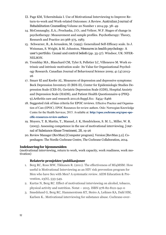- *13.* Page KM, Tchernitskaia I. Use of Motivational Interviewing to Improve Return-to-work and Work-related Outcomes: A Review. *Australian Journal of Rehabilitation Counselling* Volume 20 Number 1 2014 pp. 38–49
- 14. McConnaughy, E.A.; Prochaska, J.O.; and Velicer, W.F. Stages of change in psychotherapy: Measurement and sample profiles. Psychotherapy: Theory, Research and Practice 20:368-375, 1983
- 15. Schwarzer, R., & Jerusalem, M. (1995). Generalized Self-Efficacy scale. In J. Weinman, S. Wright, & M. Johnston, *Measures in health psychology: A user's portfolio. Causal and control beliefs* (pp. 35-37). Windsor, UK: NFER-NELSON.
- 16. Tremblay MA , Blanchard CM, Tyler S, Pelletier LC, Villeneuve M. Work extrinsic and intrinsic motivation scale: Its Value for Organizational Psychology Research. Canadian Journal of Behavioural Science 2009; 41 (4):2013- 26
- 17. Smarr Kl and Keefer AL. Measures of depression and depressive symptoms: Beck Depression Inventory-II (BDI-II), Center for Epidemiologic Studies Depression Scale (CES-D), Geriatric Depression Scale (GDS), Hospital Anxiety and Depression Scale (HADS), and Patient Health Questionnaire-9 (PHQ-9).Arthritis care and research 2011;6:Suppl.S11: S454–S466
- 18. Suggested risk of bias criteria for EPOC reviews. Effective Practice and Organisation of Care (EPOC). EPOC Resources for review authors. Oslo: Norwegian Knowledge Centre for the Health Services; 2015. Available at: **http://epoc.cochrane.org/epoc-specific-resources-review-authors**
- 19. Moyers, T. B, Martin, T., Manuel, J. K, Hendrickson, S. M. L., Miller, W. R. (2005). Assessing competence in the use of motivational interviewing. *Journal of Substance Abuse Treatment, 28*, 19-26
- 20. Review Manager (RevMan) [Computer program]. Version [RevMan 5.2]. Copenhagen: The Nordic Cochrane Centre, The Cochrane Collaboration, 2014.

#### **Indeksering for hjemmesiden**

(motivational interviewing, return to work, work capacity, work readiness, work motivation)

#### **Relaterte prosjekter/publikasjoner**

- 1. Berg RC, Ross MW, Tikkanen R. (2011). The effectiveness of MI4MSM: How useful is Motivational Interviewing as an HIV risk prevention program for Men who have Sex with Men? A systematic review. AIDS Education & Prevention, 23(6), 533-549.
- 2. Kurtze N, Berg RC. Effect of motivational interviewing on alcohol, tobacco, physical activity and nutrition. Notat – 2015. ISBN 978-82-8121-941-0
- 3. Smedslund G, Berg RC, Hammerstrøm KT, Steiro A, Leiknes KA, Dahl HM, Karlsen K.. Motivational interviewing for substance abuse. Cochrane-over-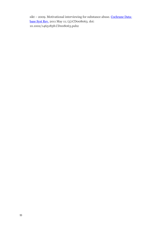sikt - 2009. Motivational interviewing for substance abuse. Cochrane Database Syst Rev. 2011 May 11; (5):CD008063. doi: 10.1002/14651858.CD008063.pub2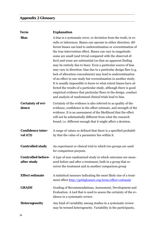# **Appendix 2 Glossary**

| <b>Term</b>                              | <b>Explanation</b>                                                                                                                                                                                                                                                                                                                                                                                                                                                                                                                                                                                                                                                                                                                                                                                                                                                                                                                                 |
|------------------------------------------|----------------------------------------------------------------------------------------------------------------------------------------------------------------------------------------------------------------------------------------------------------------------------------------------------------------------------------------------------------------------------------------------------------------------------------------------------------------------------------------------------------------------------------------------------------------------------------------------------------------------------------------------------------------------------------------------------------------------------------------------------------------------------------------------------------------------------------------------------------------------------------------------------------------------------------------------------|
| <b>Bias</b>                              | A bias is a systematic error, or deviation from the truth, in re-<br>sults or inferences. Biases can operate in either direction: dif-<br>ferent biases can lead to underestimation or overestimation of<br>the true intervention effect. Biases can vary in magnitude:<br>some are small (and trivial compared with the observed ef-<br>fect) and some are substantial (so that an apparent finding<br>may be entirely due to bias). Even a particular source of bias<br>may vary in direction: bias due to a particular design flaw (e.g.<br>lack of allocation concealment) may lead to underestimation<br>of an effect in one study but overestimation in another study.<br>It is usually impossible to know to what extent biases have af-<br>fected the results of a particular study, although there is good<br>empirical evidence that particular flaws in the design, conduct<br>and analysis of randomized clinical trials lead to bias. |
| <b>Certainty of evi-</b><br>dence        | Certainty of the evidence is also referred to as quality of the<br>evidence, confidence in the effect estimate, and strength of the<br>evidence. It is an assessment of the likelihood that the effect<br>will not be substantially different from what the research<br>found; i.e. different enough that it might affect a decision.                                                                                                                                                                                                                                                                                                                                                                                                                                                                                                                                                                                                              |
| <b>Confidence inter-</b><br>val (CI)     | A range of values so defined that there is a specified probabil-<br>ity that the value of a parameter lies within it.                                                                                                                                                                                                                                                                                                                                                                                                                                                                                                                                                                                                                                                                                                                                                                                                                              |
| <b>Controlled study</b>                  | An experiment or clinical trial in which two groups are used<br>for comparison purpose.                                                                                                                                                                                                                                                                                                                                                                                                                                                                                                                                                                                                                                                                                                                                                                                                                                                            |
| <b>Controlled before-</b><br>after study | A type of non-randomized study in which outcomes are meas-<br>ured before and after a treatment, both in a group that re-<br>ceives the treatment and in another comparison group                                                                                                                                                                                                                                                                                                                                                                                                                                                                                                                                                                                                                                                                                                                                                                  |
| <b>Effect estimate</b>                   | A statistical measure indicating the most likely size of a treat-<br>ment effect http://getitglossary.org/term/effect+estimate                                                                                                                                                                                                                                                                                                                                                                                                                                                                                                                                                                                                                                                                                                                                                                                                                     |
| <b>GRADE</b>                             | Grading of Recommendations, Assessment, Development and<br>Evaluation. A tool that is used to assess the certainty of the ev-<br>idence in a systematic review.                                                                                                                                                                                                                                                                                                                                                                                                                                                                                                                                                                                                                                                                                                                                                                                    |
| <b>Heterogeneity</b>                     | Any kind of variability among studies in a systematic review<br>may be termed heterogeneity. Variability in the participants,                                                                                                                                                                                                                                                                                                                                                                                                                                                                                                                                                                                                                                                                                                                                                                                                                      |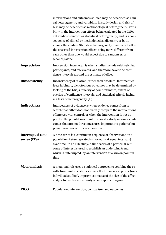|                                         | interventions and outcomes studied may be described as clini-<br>cal heterogeneity, and variability in study design and risk of<br>bias may be described as methodological heterogeneity. Varia-<br>bility in the intervention effects being evaluated in the differ-<br>ent studies is known as statistical heterogeneity, and is a con-<br>sequence of clinical or methodological diversity, or both,<br>among the studies. Statistical heterogeneity manifests itself in<br>the observed intervention effects being more different from<br>each other than one would expect due to random error<br>(chance) alone. |
|-----------------------------------------|-----------------------------------------------------------------------------------------------------------------------------------------------------------------------------------------------------------------------------------------------------------------------------------------------------------------------------------------------------------------------------------------------------------------------------------------------------------------------------------------------------------------------------------------------------------------------------------------------------------------------|
| <b>Imprecision</b>                      | Imprecision in general, is when studies include relatively few<br>participants, and few events, and therefore have wide confi-<br>dence intervals around the estimate of effect.                                                                                                                                                                                                                                                                                                                                                                                                                                      |
| Inconsistency                           | Inconsistency of relative (rather than absolute) treatment ef-<br>fects in binary/dichotomous outcomes may be determined by<br>looking at the (dis)similarity of point estimates, extent of<br>overlap of confidence intervals, and statistical criteria includ-<br>ing tests of heterogeneity $(I^2)$ .                                                                                                                                                                                                                                                                                                              |
| <b>Indirectness</b>                     | Indirectness of evidence is when evidence comes from re-<br>search that either does not directly compare the interventions<br>of interest with control, or when the intervention is not ap-<br>plied to the populations of interest or if a study measures out-<br>comes that are not direct measures important to patients but<br>proxy measures or process measures.                                                                                                                                                                                                                                                |
| <b>Interrupted time</b><br>series (ITS) | A time series is a continuous sequence of observations on a<br>population, taken repeatedly (normally at equal intervals)<br>over time. In an ITS study, a time series of a particular out-<br>come of interest is used to establish an underlying trend,<br>which is 'interrupted' by an intervention at a known point in<br>time                                                                                                                                                                                                                                                                                    |
| Meta-analysis                           | A meta-analysis uses a statistical approach to combine the re-<br>sults from multiple studies in an effort to increase power (over<br>individual studies), improve estimates of the size of the effect<br>and/or to resolve uncertainty when reports disagree                                                                                                                                                                                                                                                                                                                                                         |
| <b>PICO</b>                             | Population, intervention, comparison and outcomes                                                                                                                                                                                                                                                                                                                                                                                                                                                                                                                                                                     |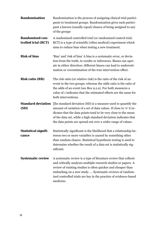| Randomisation                                 | Randomization is the process of assigning clinical trial partici-<br>pants to treatment groups. Randomization gives each partici-<br>pant a known (usually equal) chance of being assigned to any<br>of the groups                                                                                                                                                  |
|-----------------------------------------------|---------------------------------------------------------------------------------------------------------------------------------------------------------------------------------------------------------------------------------------------------------------------------------------------------------------------------------------------------------------------|
| <b>Randomised con-</b><br>trolled trial (RCT) | A randomized controlled trial (or randomized control trial;<br>RCT) is a type of scientific (often medical) experiment which<br>aims to reduce bias when testing a new treatment.                                                                                                                                                                                   |
| <b>Risk of bias</b>                           | 'Bias' and 'risk of bias' A bias is a systematic error, or devia-<br>tion from the truth, in results or inferences. Biases can oper-<br>ate in either direction: different biases can lead to underesti-<br>mation or overestimation of the true intervention effect.                                                                                               |
| <b>Risk ratio (RR)</b>                        | The risk ratio (or relative risk) is the ratio of the risk of an<br>event in the two groups, whereas the odds ratio is the ratio of<br>the odds of an event (see Box 9.2.a). For both measures a<br>value of 1 indicates that the estimated effects are the same for<br>both interventions.                                                                         |
| (SD)                                          | <b>Standard deviation</b> The standard deviation (SD) is a measure used to quantify the<br>amount of variation of a set of data values. If close to 'o' it in-<br>dicates that the data points tend to be very close to the mean<br>of the data set, while a high standard deviation indicates that<br>the data points are spread out over a wider range of values. |
| <b>Statistical signifi-</b><br>cance          | Statistically significant is the likelihood that a relationship be-<br>tween two or more variables is caused by something other<br>than random chance. Statistical hypothesis testing is used to<br>determine whether the result of a data set is statistically sig-<br>nificant.                                                                                   |
| <b>Systematic review</b>                      | A systematic review is a type of literature review that collects<br>and critically analyzes multiple research studies or papers. A<br>review of existing studies is often quicker and cheaper than<br>embarking on a new study.  Systematic reviews of random-<br>ized controlled trials are key in the practice of evidence-based<br>medicine.                     |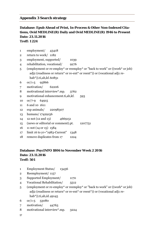#### **Appendix 3 Search strategy**

## **Database: Epub Ahead of Print, In-Process & Other Non-Indexed Citations, Ovid MEDLINE(R) Daily and Ovid MEDLINE(R) 1946 to Present Dato: 23.11.2016 Treff: 1 224**

- 1 employment/ 43418
- 2 return to work/ 1182
- 3 employment, supported/ 1039
- 4 rehabilitation, vocational/ 9276
- 5 (employment or re-employ\* or reemploy\* or "back to work" or ((work\* or job) adj2 (readiness or return\* or re-ent\* or reent\*)) or (vocational adj1 rehab\*)).ti,ab,kf. 60851
- 6 or/1-5 95866
- 7 motivation/ 62206
- 8 motivational interview\*.mp. 3762
- 9 motivational enhancement.ti,ab,kf. 593
- 10 or/7-9 64915
- 11 6 and 10 1611
- 12 exp animals/ 22098307
- 13 humans/ 17429156
- 14 12 not (12 and 13) 4669151
- 15 (news or editorial or comment).pt. 1207751
- 16 11 not (14 or 15) 1584
- 17 limit 16 to yr="1983-Current" 1348
- 18 remove duplicates from 17 1224

#### **Database: PsycINFO 1806 to November Week 2 2016 Dato: 23.11.2016 Treff: 501**

- 1 Employment Status/ 13436
- 2 Reemployment/ 1157
- 3 Supported Employment/ 1170
- 4 Vocational Rehabilitation/ 5512
- 5 (employment or re-employ\* or reemploy\* or "back to work" or ((work\* or job) adj2 (readiness or return\* or re-ent\* or reent\*)) or (vocational adj1 rehab\*)).ti,ab,id. 49145
- 6  $or/1-5$  53080
- 7 motivation/ 44763
- 8 motivational interview\*.mp. 3224
- 57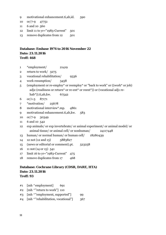- 9 motivational enhancement.ti,ab,id. 590
- 10 or/7-9 47751
- 11 6 and 10 560
- 12 limit 11 to yr="1983-Current" 501
- 13 remove duplicates from 12 501

## **Database: Embase 1974 to 2016 November 22 Dato: 23.11.2016 Treff: 468**

- 1 \*employment/ 21419
- 2 return to work/ 3275
- 3 vocational rehabilitation/ 9336
- 4 work resumption/ 3458
- 5 (employment or re-employ\* or reemploy\* or "back to work" or ((work\* or job) adj2 (readiness or return\* or re-ent\* or reent\*)) or (vocational adj1 rehab\*)).ti,ab,kw. 67542
- 6 or/1-5 87171
- 7 \*motivation/ 25678
- 8 motivational interview\*.mp. 4861
- 9 motivational enhancement.ti,ab,kw. 583
- 10 or/7-9 30349
- 11 6 and 10 542
- 12 exp animals/ or exp invertebrate/ or animal experiment/ or animal model/ or animal tissue/ or animal cell/ or nonhuman/ 24117448
- 13 human/ or normal human/ or human cell/ 18280439
- 14 12 not (12 and 13) 5883827
- 15 (news or editorial or comment).pt. 523258
- 16 11 not (14 or 15) 541
- 17 limit 16 to yr="1983-Current" 475
- 18 remove duplicates from 17 468

## **Database: Cochrane Library (CDSR, DARE, HTA) Dato: 23.11.2016 Treff: 93**

- #1 [mh ^employment] 691
- #2 [mh ^"return to work"] 110
- #3 [mh ^"employment, supported"] 99
- #4 [mh ^"rehabilitation, vocational"] 367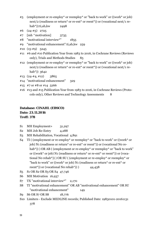- $\#5$  (employment or re-employ\* or reemploy\* or "back to work" or ((work\* or job) next/2 (readiness or return<sup>\*</sup> or re-ent<sup>\*</sup> or reent<sup>\*</sup>)) or (vocational next/1 rehab\*)):ti,ab,kw 2498
- #6 (24-#5) 2725
- $#7$  [mh ^motivation] 3735
- #8 "motivational interview\*" 1855
- #9 "motivational enhancement":ti,ab,kw 259
- $#10 (15 #9) 5245$
- #11 #6 and #10 Publication Year from 1983 to 2016, in Cochrane Reviews (Reviews only), Trials and Methods Studies 85
- #12 (employment or re-employ\* or reemploy\* or "back to work" or ((work\* or job) next/2 (readiness or return\* or re-ent\* or reent\*)) or (vocational next/1 rehab\*)) 3642
- #13 (24-#4, #12) 3865
- #14 "motivational enhancement" 329
- #15 #7 or #8 or #14 5266
- #16 #13 and #15 Publication Year from 1983 to 2016, in Cochrane Reviews (Protocols only), Other Reviews and Technology Assessments 8

## **Database: CINAHL (EBSCO) Dato: 23.11.2016 Treff: 378**

- S1 MH Employment+ 31,297
- S<sub>2</sub> MH Job Re-Entry 4,288
- S3 MH Rehabilitation, Vocational 4,891
- S4 TI ( (employment or re-employ\* or reemploy\* or "back to work" or ((work\* or job) N1 (readiness or return<sup>\*</sup> or re-ent<sup>\*</sup> or reent<sup>\*</sup>)) or (vocational No rehab<sup>\*</sup>)) ) OR AB ( (employment or re-employ<sup>\*</sup> or reemploy<sup>\*</sup> or "back to work" or ((work\* or job) N1 (readiness or return\* or re-ent\* or reent\*)) or (vocational N0 rehab\*)) ) OR SU ( (employment or re-employ\* or reemploy\* or "back to work" or ((work\* or job) N1 (readiness or return\* or re-ent\* or reent<sup>\*</sup>)) or (vocational No rehab<sup>\*</sup>)) )  $44,438$
- S5 S1 OR S2 OR S3 OR S4 47,746
- S6 MH Motivation 16,937
- S7 TX "motivational interview\*" 2,170
- S8 TI "motivational enhancement" OR AB "motivational enhancement" OR SU "motivational enhancement" 149
- Sq S6 OR S7 OR S8 18,776
- S10 Limiters Exclude MEDLINE records; Published Date: 19830101-20161131 378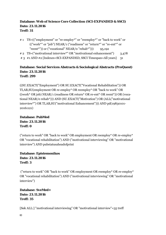#### **Database: Web of Science Core Collection (SCI-EXPANDED & SSCI) Dato: 23.11.2016 Treff: 31**

- # 1 TS=(("employment" or "re-employ\*" or "reemploy\*" or "back to work" or (("work\*" or "job") NEAR/1 ("readiness" or "return\*" or "re-ent\*" or "reent\*")) or ("vocational" NEAR/0 "rehab\*")))  $95,192$
- # 2 TS=("motivational interview\*" OR "motivational enhancement") 3,478
- # 3 #1 AND #2 [Indexes=SCI-EXPANDED, SSCI Timespan=All years] 31

#### **Database: Social Services Abstracts & Sociological Abstracts (ProQuest) Dato: 23.11.2016 Treff: 299**

((SU.EXACT("Employment") OR SU.EXACT("Vocational Rehabilitation")) OR TI,AB,SU(employment OR re-employ\* OR reemploy\* OR "back to work" OR ((work\* OR job) NEAR/1 (readiness OR return\* OR re-ent\* OR reent\*)) OR (vocational NEAR/0 rehab\*))) AND (SU.EXACT("Motivation") OR (ALL("motivational interview\*") OR TI,AB,SU("motivational Enhancement"))) AND pd(19830101- 20161121)

**Database: PubMed Dato: 23.11.2016 Treff: 0** 

("return to work" OR "back to work" OR employment OR reemploy\* OR re-employ\* OR "vocational rehabilitation") AND ("motivational interviewing" OR "motivational interview") AND pubstatusaheadofprint

**Database: Epistemonikos Dato: 23.11.2016 Treff: 3** 

 ("return to work" OR "back to work" OR employment OR reemploy\* OR re-employ\* OR "vocational rehabilitation") AND ("motivational interviewing" OR "motivational interview")

**Database: SveMed+ Dato: 23.11.2016 Treff: 35** 

[Søk ALL:] "motivational interviewing" OR "motivational interview"=35 treff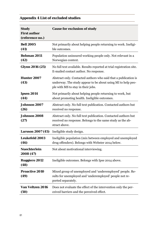# **Appendix 4 List of excluded studies**

| <b>Study</b><br><b>First author</b><br>(reference no.) | <b>Cause for exclusion of study</b>                                                                                                                                   |
|--------------------------------------------------------|-----------------------------------------------------------------------------------------------------------------------------------------------------------------------|
| <b>Bell 2005</b><br>(41)                               | Not primarily about helping people returning to work. Ineligi-<br>ble outcomes.                                                                                       |
| <b>Bohman 2011</b><br>(42)                             | Population uninsured working people only. Not relevant in a<br>Norwegian context.                                                                                     |
| <b>Glynn 2016 (25)</b>                                 | No full text available. Results reported at trial registration site.<br>E-mailed contact author. No response.                                                         |
| <b>Hunter 2007</b><br>(43)                             | Abstract only. Contacted authors who said that a publication is<br>underway. The study appear to be about using MI to help peo-<br>ple with MS to stay in their jobs. |
| <b>Ipsen 2014</b><br>(44)                              | Not primarily about helping people returning to work, but<br>about promoting health. Ineligible outcomes.                                                             |
| <b>Johnson 2007</b><br>(26)                            | Abstract only. No full text publication. Contacted authors but<br>received no response.                                                                               |
| <b>Johnson 2008</b><br>(27)                            | Abstract only. No full text publication. Contacted authors but<br>received no response. Belongs to the same study as the ab-<br>stract above.                         |
| <b>Larsson 2007 (45)</b>                               | Ineligible study design.                                                                                                                                              |
| <b>Leukefeld 2003</b><br>(46)                          | Ineligible population (mix between employed and unemployed<br>drug offenders). Belongs with Webster 2014 below.                                                       |
| Nuechterlein<br>2008 (47)                              | Not about motivational interviewing                                                                                                                                   |
| <b>Ruggiero 2012</b><br>(48)                           | Ineligible outcomes. Belongs with Ipse 2014 above.                                                                                                                    |
| <b>Proactive 2010</b><br>(49)                          | Mixed group of unemployed and 'underemployed' people. Re-<br>sults for unemployed and 'underemployed' people not re-<br>ported separately.                            |
| Van Veltzen 2016<br>(50)                               | Does not evaluate the effect of the intervention only the per-<br>ceived barriers and the perceived effect.                                                           |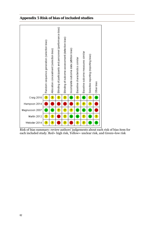## **Appendix 5 Risk of bias of included studies**



Risk of bias summary: review authors' judgements about each risk of bias item for each included study. Red= high risk, Yellow= unclear risk, and Green=low risk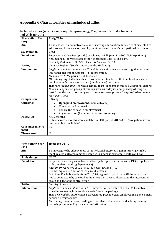## **Appendix 6 Characteristics of included studies**

| First author, Year,      | Craig 2014                                                                               |
|--------------------------|------------------------------------------------------------------------------------------|
| (30)                     |                                                                                          |
| Aim                      | To assess whether a motivational interviewing intervention directed at clinical staff to |
|                          | address ambivalence about employment improved patient's occupational outcomes.           |
| <b>Study design</b>      | <b>CRCT</b>                                                                              |
| Population               | People with early (first episode) psychosis; n=159 (out of n=300 eligible patients)      |
|                          | Age, mean: 23-25 years (across the 4 locations); Male (%):63-81%                         |
|                          | Ethnicity (%): white:33-95%; black:5-60%; asian:3-29%                                    |
| <b>Setting</b>           | Country: England (South London and the Midlands)                                         |
| <b>Intervention</b>      | Single or combined intervention: The MI intervention was delivered together with an      |
|                          | individual placement support (IPS) intervention.                                         |
|                          | MI delivered to the patient: not described                                               |
|                          | MI training targeted at healthcare professionals to address their ambivalence about      |
|                          | employment for improved patient (employment) outcomes.                                   |
|                          | Who received training: The whole clinical team (all teams included a vocational expert). |
|                          | Number, length, and spacing of training sessions: 3 days training+ 2 days during the     |
|                          | next 3 months, and at second year of the recruitment phase a 3 days refresher course.    |
|                          | MI support: N/A                                                                          |
| Comparison               | IPS only                                                                                 |
| <b>Outcomes</b>          | Open paid employment (main outcome)<br>$\bullet$                                         |
|                          | Hours worked per week                                                                    |
|                          | Tenure (no of days in employment)<br>$\bullet$                                           |
|                          | Any occupation (including casual and voluntary)                                          |
| <b>Follow</b> up         | At 12 months                                                                             |
|                          | Outcomes at 12 months were available for 134 patients (85%)-15 % of patients were        |
|                          | not possible to get hold of                                                              |
| <b>Consumer involve-</b> | N <sub>0</sub>                                                                           |
| ment                     |                                                                                          |
| <b>Theory used</b>       | N <sub>0</sub>                                                                           |

Included studies (n=5): Craig 2014, Hampson 2015, Magnussen 2007, Martin 2012 and Webster 2014

| First author, Year, | Hampson 2015.                                                                                                                                                                                                                                                                                                                                                                                                                                                 |
|---------------------|---------------------------------------------------------------------------------------------------------------------------------------------------------------------------------------------------------------------------------------------------------------------------------------------------------------------------------------------------------------------------------------------------------------------------------------------------------------|
| (31)                |                                                                                                                                                                                                                                                                                                                                                                                                                                                               |
| Aim                 | To investigate the effectiveness of motivational interviewing in improving employ-<br>ment-related outcomes among people with a persisting mental health condition.                                                                                                                                                                                                                                                                                           |
| <b>Study design</b> | <b>NRCT</b>                                                                                                                                                                                                                                                                                                                                                                                                                                                   |
| Population          | People with severe psychiatric condition (schizophrenia, depression, PTSD, bipolar dis-<br>order, anxiety and drug dependence)<br>Age: 20-39 years-n=11; 42.3%; 40-69 years-n=15; 57.7%<br>Gender: equal distribution of males and females<br>Out of n=51 eligible patients, n=28 (55%) agreed to participate: Of these two could<br>not be contacted why the total number was 26; 10 were allocated to the intervention<br>group and 16 to the control group |
| <b>Setting</b>      | Country: Australia                                                                                                                                                                                                                                                                                                                                                                                                                                            |
| <b>Intervention</b> | Single or combined intervention: The intervention consisted of a brief (1 h) motiva-<br>tional interviewing intervention + an information package.<br>Who delivered the intervention: Six registered psychologists employed in a government<br>service delivery agency<br>MI training: Complete pre-reading on the subject of MI and attend a 1-day training<br>workshop conducted by an accredited MI trainer.                                               |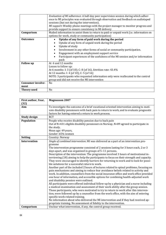|                          | Evaluation of MI adherence: A half-day peer supervision session during which adher-<br>ence to MI principles was evaluated through observation and feedback on audiotaped |  |
|--------------------------|---------------------------------------------------------------------------------------------------------------------------------------------------------------------------|--|
|                          | sessions (but not during the intervention).                                                                                                                               |  |
|                          | MI support: Weekly phone meetings with the project manager to monitor progress and                                                                                        |  |
|                          | provide support to ensure consistency in MI delivery                                                                                                                      |  |
| Comparison               | Mailed information to assist them to return to paid or unpaid work (i.e. information on                                                                                   |  |
|                          | options for work, study or community participation)                                                                                                                       |  |
| <b>Outcomes</b>          | Uptake of any form of paid work during the period<br>$\bullet$                                                                                                            |  |
|                          | Uptake of any form of unpaid work during the period<br>$\bullet$                                                                                                          |  |
|                          | Uptake of study<br>$\bullet$                                                                                                                                              |  |
|                          | Involvement in any other forms of social or community participation.<br>$\bullet$                                                                                         |  |
|                          | Engagement with an employment support service<br>$\bullet$                                                                                                                |  |
|                          | Participant experiences of the usefulness of the MI session and/or information<br>$\bullet$                                                                               |  |
|                          | pack                                                                                                                                                                      |  |
| <b>Follow</b> up         | At 6 and 12 months                                                                                                                                                        |  |
|                          | Losses to follow up:                                                                                                                                                      |  |
|                          | At 6 months: I: 3 (of 10); C: 8 (of 16). Attrition rate: 43.4%                                                                                                            |  |
|                          | At 12 months: I: 4 (of 10); C: 5 (of 16)                                                                                                                                  |  |
|                          | NOTE: 3 participants who requested information only were reallocated to the control                                                                                       |  |
|                          | group-and did not receive the MI intervention                                                                                                                             |  |
| <b>Consumer involve-</b> | N <sub>0</sub>                                                                                                                                                            |  |
| ment                     |                                                                                                                                                                           |  |
| <b>Theory used</b>       | No                                                                                                                                                                        |  |

| First author, Year, | <b>Magnusson 2007</b>                                                                                                                                                       |
|---------------------|-----------------------------------------------------------------------------------------------------------------------------------------------------------------------------|
| (32)                |                                                                                                                                                                             |
| Aim                 | To investigate the outcome of a brief vocational oriented intervention aiming to moti-                                                                                      |
|                     | vate disability pensioners with back pain to return to work, and to evaluate prognostic                                                                                     |
|                     | factors for having entered a return to work process.                                                                                                                        |
| <b>Study design</b> | <b>RCT</b>                                                                                                                                                                  |
| Population          | People who receive disability pension due to back pain                                                                                                                      |
|                     | Out of $N=431$ eligible disability pensioners in Norway, $N=89$ agreed to participate in                                                                                    |
|                     | the study.                                                                                                                                                                  |
|                     | Mean age: 49 years,                                                                                                                                                         |
|                     | Gender: 65% women                                                                                                                                                           |
| <b>Setting</b>      | Country: Norway                                                                                                                                                             |
| Intervention        | Single of combined intervention: MI was delivered as a part of an intervention pro-                                                                                         |
|                     | gramme                                                                                                                                                                      |
|                     | The intervention programme consisted of 2 sessions lasting for 3 hours each, 2 or 3                                                                                         |
|                     | days apart, and was organized in groups of 5-11 persons.                                                                                                                    |
|                     | Description of the intervention: The programme involved 3 hours of motivational in-                                                                                         |
|                     | terviewing (18) aiming to help the participants to focus on their strength and capacity.                                                                                    |
|                     | They were encouraged to identify barriers for returning to work and to look for possi-<br>ble solutions for a successful return to work.                                    |
|                     | Another part of the included 2 hours of lectures related to spinal problems, focusing on                                                                                    |
|                     | pain mechanisms and aiming to reduce fear avoidance beliefs related to activity and                                                                                         |
|                     | work. In addition, counsellors from the social insurance office and work office provided                                                                                    |
|                     | one hour of information, and accessible options for combining health-adjusted work                                                                                          |
|                     | and disability pension were outlined.                                                                                                                                       |
|                     |                                                                                                                                                                             |
|                     | All participants were offered individual follow-up by a physician and a nurse including                                                                                     |
|                     | a medical examination and assessment of their work ability after the group session.<br>Those participants, who were motivated to try to return to work after this interven- |
|                     | tion, were followed up by a counsellor from the work office, with the aim of entering                                                                                       |
|                     | specific work-related training.                                                                                                                                             |
|                     | No information about who delivered the MI intervention and if they had received ap-                                                                                         |
|                     |                                                                                                                                                                             |
|                     | propriate training. No assessment of fidelity to the intervention.                                                                                                          |
| Comparison          | Unclear what intervention, if any, the control group received.                                                                                                              |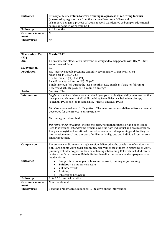| <b>Outcomes</b>          | Primary outcome return to work or being in a process of returning to work<br>(measured by register data from the National Insurance Offices and<br>self-report; being in a process of return to work was defined as being on educational<br>course or being in work training) |
|--------------------------|-------------------------------------------------------------------------------------------------------------------------------------------------------------------------------------------------------------------------------------------------------------------------------|
| <b>Follow</b> up         | At 12 months                                                                                                                                                                                                                                                                  |
| <b>Consumer involve-</b> | N <sub>0</sub>                                                                                                                                                                                                                                                                |
| ment                     |                                                                                                                                                                                                                                                                               |
| <b>Theory used</b>       | No                                                                                                                                                                                                                                                                            |

| First author, Year,      | Martin 2012                                                                                                                                                                  |
|--------------------------|------------------------------------------------------------------------------------------------------------------------------------------------------------------------------|
| (33)<br>Aim              | To evaluate the effects of an intervention designed to help people with HIV/AIDS re-                                                                                         |
|                          | enter the workforce.                                                                                                                                                         |
|                          | <b>RCT</b>                                                                                                                                                                   |
| <b>Study design</b>      |                                                                                                                                                                              |
| Population               | HIV-positive people receiving disability payment: N= 174; I: n=83; C: 91                                                                                                     |
|                          | Mean age: 44.1 (SD: 7.6)                                                                                                                                                     |
|                          | Gender, male, n (%): 158 (91)                                                                                                                                                |
|                          | Race/Ethnicity, white, no (%): 78 (45)                                                                                                                                       |
|                          | Employment, n (%) during the last 6 months: 32% (unclear if part- or full-time)                                                                                              |
|                          | Received disability payment: 4 years on average                                                                                                                              |
| <b>Setting</b>           | Country: USA                                                                                                                                                                 |
| <b>Intervention</b>      | Single or combined intervention: A mixed (group-individual) modality intervention that                                                                                       |
|                          | incorporated elements of MI, skills building from dialectical behaviour therapy                                                                                              |
|                          | (Linehan, 1993) and job related skills. (Prize & Vinokur, 1995).                                                                                                             |
|                          |                                                                                                                                                                              |
|                          | MI intervention delivered to the patient: The intervention was delivered from a manual                                                                                       |
|                          | developed for the project to ensure fidelity.                                                                                                                                |
|                          |                                                                                                                                                                              |
|                          | MI training: not described                                                                                                                                                   |
|                          |                                                                                                                                                                              |
|                          | Delivery of the intervention: the psychologist, vocational counsellor and peer leader                                                                                        |
|                          | used Motivational Interviewing principles during both individual and group sessions.<br>The psychologist and vocational counsellor were central in planning and drafting the |
|                          | intervention manual and therefore familiar with all group and individual session con-                                                                                        |
|                          | tent and routines.                                                                                                                                                           |
|                          |                                                                                                                                                                              |
| Comparison               | The control condition was a single session delivered at the conclusion of randomiza-                                                                                         |
|                          | tion. Participants were given community referrals to assist them in returning to work,                                                                                       |
|                          | pursuing volunteer opportunities, or obtaining job training. Referrals included career                                                                                       |
|                          | centres, the Department of Rehabilitation, benefits counsellors, and employment-re-                                                                                          |
|                          | lated websites.                                                                                                                                                              |
| <b>Outcomes</b>          | Composite score of paid job, volunteer work, training, or job seeking<br>٠                                                                                                   |
|                          | Paid job - no numerical results<br>$\bullet$                                                                                                                                 |
|                          | Volunteer work<br>$\bullet$                                                                                                                                                  |
|                          | Training<br>$\bullet$                                                                                                                                                        |
|                          | Job seeking behaviour<br>$\bullet$                                                                                                                                           |
| <b>Follow</b> up         | At 6, 12, 18 and 24 months                                                                                                                                                   |
| <b>Consumer involve-</b> | None mentioned                                                                                                                                                               |
| ment                     |                                                                                                                                                                              |
| <b>Theory used</b>       | Used the Transtheoretical model (12) to develop the intervention.                                                                                                            |
|                          |                                                                                                                                                                              |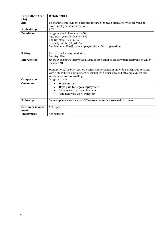| First author, Year,      | Webster 2014                                                                             |
|--------------------------|------------------------------------------------------------------------------------------|
| (34)                     |                                                                                          |
| Aim                      | To examine employment outcomes for drug-involved offenders who received a tai-           |
|                          | lored employment intervention.                                                           |
| <b>Study design</b>      | <b>RCT</b>                                                                               |
| Population               | Drug-involved offenders (n=500)                                                          |
|                          | Age, mean years (SD): 30.5 (8.7)                                                         |
|                          | Gender, male, (%): 65.4%                                                                 |
|                          | Ethnicity, white (%):61.8%                                                               |
|                          | Employment: 53.6% were employed either full- or part-time                                |
|                          |                                                                                          |
| <b>Setting</b>           | Two Kentucky drug court sites                                                            |
|                          | Country: USA                                                                             |
| <b>Intervention</b>      | Single or combined intervention: Drug court + tailored employment intervention which     |
|                          | included MI                                                                              |
|                          |                                                                                          |
|                          | Description of the intervention: a series (26 sessions) of individual and group sessions |
|                          | with a study hired employment specialist with experience in both employment and          |
|                          | substance abuse counselling                                                              |
| Comparison               | Drug court only                                                                          |
| <b>Outcomes</b>          | Work status,<br>$\bullet$                                                                |
|                          | Days paid for legal employment<br>٠                                                      |
|                          | Income from legal employment<br>$\bullet$                                                |
|                          | (and follow up work trajectory)                                                          |
|                          |                                                                                          |
| <b>Follow</b> up         | Follow up interview rate was 96% (Note: interview assessed outcomes.                     |
|                          |                                                                                          |
| <b>Consumer involve-</b> | Not reported                                                                             |
| ment                     |                                                                                          |
| <b>Theory used</b>       | Not reported                                                                             |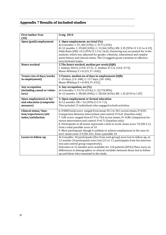## **Appendix 7 Results of included studies**

| <b>First Author Year</b>    | Craig 2014                                                                                                                         |
|-----------------------------|------------------------------------------------------------------------------------------------------------------------------------|
| (30)                        |                                                                                                                                    |
| Open (paid) employment      | 1. Open employment, no/total (%)<br>At 6 months: I: 25 /68 (33%); C: 9/73 (12%)                                                    |
|                             | At 12 months: I: 29/68 (43%); C: 12/66 (18%); RR: 2.35 [95% CI 1.31 to 4.19];                                                      |
|                             | Odds Ratio (OR) =4.3 (95% CI 1.5 to 16.6); Clustering was accounted for in the                                                     |
|                             | analysis, which was adjusted for gender, ethnicity, educational and employ-                                                        |
|                             | ment history and clinical status. The CI suggests great variation in effective-                                                    |
|                             | ness between teams.                                                                                                                |
| <b>Hours worked</b>         | 2. The hours worked, median per week: (IQR)                                                                                        |
|                             | I: median 30.0 h, (19.0–37.5); C: median 37.5 h, (16.0–37.5);                                                                      |
|                             | Mann-Whitney Z = -0.231, P = 0.82).                                                                                                |
| Tenure (no of days/weeks    | 3. Tenure, median no of days in employment (IQR):                                                                                  |
| in employment)              | I: 65 days, (13-168), C: 117 days, (30-168);                                                                                       |
|                             | Mann-Whitney Z = -0.993, P= 0.32).                                                                                                 |
| Any occupation              | 4. Any occupation, no (%)                                                                                                          |
| (including casual or volun- | At 6 months: I: 31/76 (41%); C: 22/73(30%)                                                                                         |
| tary)                       | At 12 months: I: 38/68 (56%); C: 28/66 (42%); RR: 1.32 [0.93 to 1.87]                                                              |
| Open employment or for-     | 5. Open employment or formal education                                                                                             |
| mal education (composite    | At 12 months: $OR = 3.6$ (95% CI 1.9-7.2).                                                                                         |
| measure)                    | This included 13 individuals who engaged in both activities.                                                                       |
| Clinical status/func-       | 6. PANSS total score: ranged from mean 35.1 to 50.1 across teams, P=0.01,                                                          |
| tion/experiences/atti-      | Comparison between intervention and control: P=0.61 (baseline only)                                                                |
| tudes/satisfaction          | 7. GAF score: ranged from 67.9 to 70.6 across teams, P= 0.80; Comparison be-                                                       |
|                             | tween intervention and control: P=0.71 (baseline only)                                                                             |
|                             | 8. Participants in all teams expressed a wish to work: mean score 7.8 (SD 2.1),                                                    |
|                             | from a total possible score of 10                                                                                                  |
|                             | 9. Most participants though it unlikely to achieve employment in the near fu-<br>ture: mean score 3.9 (SD 2.0=, from a possible 10 |
| Losses to follow-up         | At 6 months: 10 participants (five from each group) were lost to follow up; at                                                     |
|                             | 12 months 24 participants were lost (13 vs. 11 participants from the interven-                                                     |
|                             | tion and control group respectively).                                                                                              |
|                             | Outcomes at 12 months were available for 134 patients (85%). There were no                                                         |
|                             | differences in demographics or clinical variables between those lost to follow                                                     |
|                             | up and those who remained in the study.                                                                                            |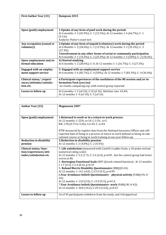| <b>First Author Year (31)</b>  | Hampson 2015                                                                    |
|--------------------------------|---------------------------------------------------------------------------------|
|                                |                                                                                 |
|                                |                                                                                 |
| Open (paid) employment         | 1. Uptake of any form of paid work during the period:                           |
|                                | At 6 months: I: 3 (42.9%); C: 1 (12.5%); At 12 months: I: 4 (66.7%); C: 1       |
|                                | $(9.1\%)$                                                                       |
|                                | Analysis: Fisher's exact test                                                   |
| Any occupation (casual or      | 2. Uptake of any form of unpaid (voluntary) work during the period              |
| voluntary)                     | At 6 Months: I: 2 (28.6%); C: 1 (12.5%); At 12 months: I: 2 (33.3%); C: 3       |
|                                | (27.3%)                                                                         |
|                                | 3. Involvement in any other forms of social or community participation          |
|                                | At 6 months: I: 1 (14.3%); C: 2 (25.0%); At 12 months: I: 3 (50%); C: 2 (18.2%) |
| Open employment and/or         | 4) Started studying                                                             |
| formal education               | At 6 months: I: 2 (28.6%); C: 0; At 12 months: I: 1 (16.7%); C: 3 (27.3%)       |
| <b>Engaged with an employ-</b> | 5. Engaged with an employment support service                                   |
| ment support service           | At 6 months: I: 6 (85.7%); C: 4 (50%); At 12 months: I: 5 (83.3%); C: 4 (36.4%) |
| Clinical status//experi-       | 6. Participant experiences of the usefulness of the MI session and/or in-       |
| ences/attitudes/satisfac-      | formation Pack (yes/no)                                                         |
| tion etc                       | -no results comparing exp. with control group reported                          |
| Losses to follow up            | At 6 months: I: 3 (of 10); C: 8 (of 16). Attrition rate: 43.4%                  |
|                                | At 12 months: I: 4 (of 10); C: 5 (of 16)                                        |

| <b>Author Year (32)</b>        | <b>Magnusson 2007</b>                                                                                             |
|--------------------------------|-------------------------------------------------------------------------------------------------------------------|
|                                |                                                                                                                   |
| Open (paid) employment         | 1. Returned to work or in a return to work process:                                                               |
|                                | At 12 months: I: 22%, n=10. C:11%, n=5                                                                            |
|                                | RR; 1.96 (0.73 to 5.26); I:n=45, C: n=44                                                                          |
|                                |                                                                                                                   |
|                                | RTW measured by register data from the National Insurance Offices and self-                                       |
|                                | reported data of being in a process of return to work defined as being on edu-                                    |
|                                | cational course or being in work training at one year follow-up.                                                  |
| <b>Reduction in disability</b> | 2. Reduction in disability pension:                                                                               |
| pension                        | At 12 months: I: 2 (4.0%); C: 2 (4.5%)                                                                            |
| Clinical status/func-          | 3. Life satisfaction (measured with Cantril's Ladder Scale, a 10-point vertical                                   |
| tion/experiences/atti-         | numerical rating scale)                                                                                           |
| tudes/satisfaction etc         | At 12 months: I: 5.3 (1.7); C: 5.4 (2.0), p=0.05, but the control group had lower<br>scores at BL                 |
|                                | 4. Norwegian Functional Scale (NFS) (work-related function): At 12 months:<br>I. 1.7 (0.3); C:1.6 (0.4), $p=0.19$ |
|                                | 5: Roland Morris Disability Questionnaire (RBQ)(0-24):                                                            |
|                                | At 12 months: I: 14.1 (4.0); C:13.9 (5.5), p=0.99                                                                 |
|                                | 6. Fear Avoidance beliefs Questionnaire - physical activity (FABQ-PA; 0-                                          |
|                                | 24);                                                                                                              |
|                                | At 12 months: I: 13.0 (5.9); C: 13.9 (5.5), p=0.14                                                                |
|                                | 7. Fear Avoidance beliefs Questionnaire- work (FABQ-W; 0-42):                                                     |
|                                | At 12 months: I: 30.0 (10.2); C:29.3 (12.0), p=0.33                                                               |
| Losses to follow up            | 16 of 45 participants withdrew from the study, and 4 dropped out                                                  |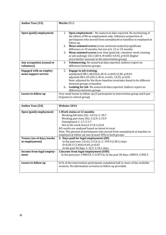| <b>Author Year (33)</b>                                | Martin 2012                                                                                                                                                                                                                                                                                                                                                                                                                                                                                                                                              |
|--------------------------------------------------------|----------------------------------------------------------------------------------------------------------------------------------------------------------------------------------------------------------------------------------------------------------------------------------------------------------------------------------------------------------------------------------------------------------------------------------------------------------------------------------------------------------------------------------------------------------|
|                                                        |                                                                                                                                                                                                                                                                                                                                                                                                                                                                                                                                                          |
| Open (paid) employment                                 | Open employment - No numerical data reported. No mentioning of<br>1.<br>the effects of MI on employment only. Unknown proportion of<br>participants who moved from unemployed at baselline to employed at<br>follow up.<br><b>Mean summed scores</b> (cross-sectional analysiis): significant<br>2.<br>difference at 18 months, but not at 6, 12 or 24 months<br>Mean summed scores over time (paid job, volunteer work, training<br>3.<br>or job seeking): Chi 2 (df=4, N=645)=10.45, p=0.03 (higher<br>score=better outcome in the intervention group) |
| Any occupation (casual or<br>voluntary)                | Volunteering. No numerical data reported. Authors report no<br>4.<br>difference between groups.                                                                                                                                                                                                                                                                                                                                                                                                                                                          |
| <b>Engaged with an employ-</b><br>ment support service | Engage in job training:<br>5.<br>unadjusted OR:1.48 (Chi2; df=4; n=645;13.38, p=0.01<br>adjusted OR:1.45 (Chi 2; df=4; n=621; 12.55; p=0.01<br>Note: adjusted for the three baseline covariates found to be different<br>between groups at baseline<br>Looking for job-No numerical data reported. Authors report no<br>6.<br>difference between groups.                                                                                                                                                                                                 |
| Losses to follow up                                    | Very small losses to follow up (5 participants in intervention group and 6 par-<br>ticipants in control group)                                                                                                                                                                                                                                                                                                                                                                                                                                           |

| <b>Author Year (34)</b>   | Webster 2014                                                                 |
|---------------------------|------------------------------------------------------------------------------|
| Open (paid) employment    | 1. Work status at 12 months:                                                 |
|                           | Working full-time (%) : I:67.6; C: 59.7                                      |
|                           | Working part-time (%): I:12.9; C:15.9                                        |
|                           | Unemployed: I: 1.7; C:1.7                                                    |
|                           | Not in the work-force: I:17.8; C:22.8                                        |
|                           | All results are analysed based on intent to treat.                           |
|                           | Note. The percent of participants who moved from unemployed at baseline to   |
|                           | employed at follow up was around 30% in both groups.                         |
| Tenure (no of days/weeks  | 2: Days paid for legal employment (SD)                                       |
| in employment)            | In the past year: I:210.1 (114.1); C: 199.9 (130.1) days                     |
|                           | D=0.20; F $(1.464)$ =4.69, p=0.03                                            |
|                           | In the past 30 days: I: 16.7; C:16.1 days                                    |
| Income from legal employ- | 3. Income from legal employment (USD)                                        |
| ment                      | In the past year: I:9863.9; C:11073.6; In the past 30 days: I:809.9; C:845.5 |
|                           |                                                                              |
| Losses to follow up       | 61% of the intervention participants completed half or more of the available |
|                           | sessions. No information on losses to follow up provided.                    |
|                           |                                                                              |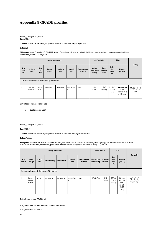#### **Appendix 8 GRADE profiles**

#### **Author(s)**: Flodgren GM, Berg RC **Date**: 27.03.17

**Question**: Motivational interviewing compared to business as usual for first episode psychosis

#### **Setting**: UK

**Bibliography**: Craig T, Shepherd G, Rinaldi M, Smith J, Carr S, Preston F, et al. Vocational rehabilitation in early psychosis: cluster randomised trial. British Journal of Psychiatry 2014; 205(2):145-150.

| <b>Quality assessment</b> |                                                         |                           |                    |                   |                   |                           |                                     | Nº of patients            |                               | Effect                                                 | Quality               |  |
|---------------------------|---------------------------------------------------------|---------------------------|--------------------|-------------------|-------------------|---------------------------|-------------------------------------|---------------------------|-------------------------------|--------------------------------------------------------|-----------------------|--|
| Nº of<br>stud-<br>ies     | Study de-<br>sign                                       | <b>Risk</b><br>0f<br>bias | Incon-<br>sistency | Indirect-<br>ness | Impreci-<br>sion  | Other consid-<br>erations | Motiva-<br>tional inter-<br>viewing | busi-<br>ness as<br>usual | Rela-<br>tive<br>(95%<br>CI   | Absolute<br>(95% CI)                                   |                       |  |
|                           | Open employment (return to work) (follow up: 12 months) |                           |                    |                   |                   |                           |                                     |                           |                               |                                                        |                       |  |
|                           | random-<br>ised trials                                  | not se-<br>rious          | not serious        | not serious       | very serious<br>a | none                      | 25/68<br>$(42.6\%)$                 | 12/66<br>$(18.2\%)$       | RR 2.35<br>$(1.31$ to<br>4.19 | 244 more per<br>1,000<br>(from 56 more<br>to 580 more) | $\oplus\oplus$<br>LOW |  |

**CI:** Confidence interval; **RR:** Risk ratio

a. Small study and wide CI

#### **Author(s)**: Flodgren GM, Berg RC

**Date**: 27.03.17

**Question**: Motivational interviewing compared to business as usual for severe psychiatric condition

#### **Setting**: Australia

**Bibliography**: Hampson ME, Hicks RE, Watt BD. Exploring the effectiveness of motivational interviewing in re-engaging people diagnosed with severe psychiatric conditions in work, study, or community participation. American Journal of Psychiatric Rehabilitation 2015;18 (3):265-279.

| <b>Quality assessment</b> |                                      |                        |               |              |                   |                           |                                     | Nº of patients       | Effect                         |                                                               | Certainty                   |
|---------------------------|--------------------------------------|------------------------|---------------|--------------|-------------------|---------------------------|-------------------------------------|----------------------|--------------------------------|---------------------------------------------------------------|-----------------------------|
| Nº of<br>studies          | Study<br>design                      | Risk of<br><b>bias</b> | Inconsistency | Indirectness | Impreci-<br>sion  | Other consid-<br>erations | <b>Motivational</b><br>interviewing | business<br>as usual | Rela-<br>tive<br>(95%<br>CI    | Absolute<br>$(95% \text{ Cl})$                                |                             |
|                           | Open employment (follow up 12 month) |                        |               |              |                   |                           |                                     |                      |                                |                                                               |                             |
|                           | Quasi-<br>experi-<br>mental          | serious <sup>a</sup>   | not serious   | not serious  | very serious<br>b | none                      | 4/6 (66.7%)                         | 1/11<br>$(9.1\%)$    | RR 7.33<br>(1.04)<br>$51.67$ ) | 575 more<br>per 1,000<br>(from 4<br>more to<br>1,000<br>more) | $\oplus$<br><b>VERY LOW</b> |

**CI:** Confidence interval; **RR:** Risk ratio

a. High risk of selection bias, performance bias and high attrition.

b. Very small study and wide CI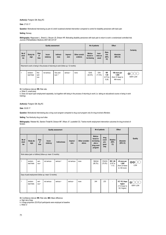**Author(s)**: Flodgren GM, Berg RC

**Date**: 27.03.17

**Question**: Motivational interviewing as part of a brief vocational-oriented intervention compared to control for disability pensioners with back pain

#### **Setting**: Norway

**Bibliography**: Magnussen L, Strand LI, Skouen JS, Eriksen HR. Motivating disability pensioners with back pain to return to work--a randomized controlled trial. Journal of Rehabilitation Medicine 2007;39(1):81-87

| <b>Quality assessment</b> |                                                                                      |                     |                                       |                                    |                           |                                                                  | Nº of patients      |                              |                                     | Effect                                                  |                 |  |
|---------------------------|--------------------------------------------------------------------------------------|---------------------|---------------------------------------|------------------------------------|---------------------------|------------------------------------------------------------------|---------------------|------------------------------|-------------------------------------|---------------------------------------------------------|-----------------|--|
| Nº of<br>stud-<br>ies     | <b>Risk</b><br>Study de-<br>Incon-<br>of<br>sistency<br>sign<br>bias                 |                     | Impreci-<br>Indirect-<br>sion<br>ness |                                    | Other consid-<br>erations | Motiva-<br>busi-<br>tional in-<br>ness as<br>terviewing<br>usual |                     | Rela-<br>tive<br>(95%<br>CI) | Absolute<br>(95% CI)                | Certainty                                               |                 |  |
|                           | Returned to work or being in the process of returning to work (follow up: 12 months) |                     |                                       |                                    |                           |                                                                  |                     |                              |                                     |                                                         |                 |  |
|                           | random-<br>ised trials                                                               | Not<br>seri-<br>ous | not serious                           | Very seri-<br>OUS <sup>a</sup> , b | serious <sup>c</sup>      | none                                                             | 10/45<br>$(22.2\%)$ | 5/44<br>$(11.4\%)$           | <b>RR</b><br>1.95<br>(0.73)<br>5.26 | 108 more per<br>1,000<br>(from 31 fewer to<br>484 more) | <b>VERY LOW</b> |  |

**CI:** Confidence interval; **RR:** Risk ratio

a. Wide CI, small study

b. Does not report open employment separately, but together with being in the process of returning to work (i.e. taking an educational course or being in work training).

**Author(s)**: Flodgren GM, Brg RC

**Date**: 30.05.17

**Question**: Motivational interviewing plus a drug court program compared to drug court program only for drug-involved offenders

**Setting**: Two Kentucky drug court sites

**Bibliography**: Webster MJ, Stanton-Tindall M, Dickson MF, Wilson JF, Leukefeld CG. Twelve-month employment intervention outcomes for drug-involved offenders

| <b>Quality assessment</b>                                   |                        |                           |                    |                      |                      |                           |                                                                        | Nº of patients                        |                                | Effect                                                   |                        |
|-------------------------------------------------------------|------------------------|---------------------------|--------------------|----------------------|----------------------|---------------------------|------------------------------------------------------------------------|---------------------------------------|--------------------------------|----------------------------------------------------------|------------------------|
| Nº of<br>stud-<br>ies                                       | Study de-<br>sign      | <b>Risk</b><br>of<br>bias | Incon-<br>sistency | Indirectness         | Impreci-<br>sion     | Other consider-<br>ations | Motiva-<br>tional in-<br>terviewing<br>plus a<br>drug court<br>program | drug<br>court<br>pro-<br>gram<br>only | <b>Relative</b><br>(95%<br>CI) | Absolute<br>(95% CI)                                     | Quality                |
| Work status (part- or fulltime) (follow up: mean 12 months) |                        |                           |                    |                      |                      |                           |                                                                        |                                       |                                |                                                          |                        |
| $\mathbf{1}$                                                | random-<br>ised trials | seri-<br>OUS <sup>a</sup> | not serious        | serious <sup>b</sup> | not serious          | none                      | 196/244<br>$(80.3\%)$                                                  | 176/233<br>(75.5%)                    | RR 1.06<br>(0.97)<br>1.17)     | 45 more per<br>1,000<br>(from 23 fewer<br>to 128 more)   | $\oplus \oplus$<br>LOW |
| Days of paid employment (follow up: mean 12 months)         |                        |                           |                    |                      |                      |                           |                                                                        |                                       |                                |                                                          |                        |
| 1                                                           | random-<br>ised trials | seri-<br>OUS <sup>a</sup> | not serious        | serious <sup>b</sup> | serious <sup>c</sup> | none                      | 244                                                                    | 233                                   | $\overline{\phantom{a}}$       | MD 10.2 days<br>higher<br>(11.8 lower to<br>32.2 higher) | <b>VERY LOW</b>        |

**CI:** Confidence interval; **RR:** Risk ratio; **MD:** Mean difference

a. High risk of bias

b. A large proportion (53.6%)of participants were employed at baseline

c. Wide CI